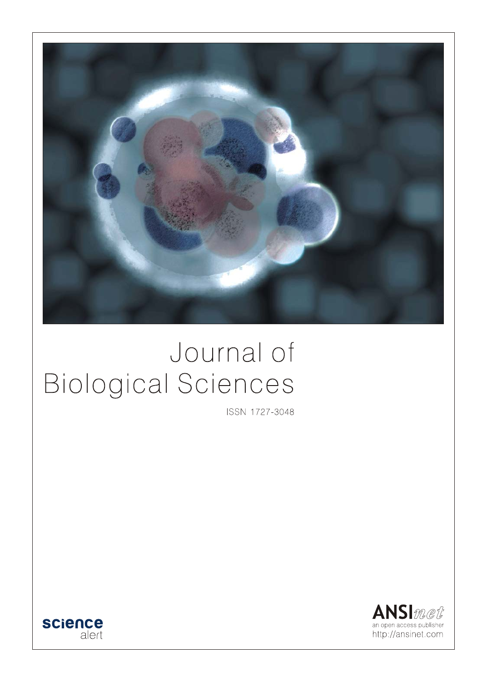

# Journal of **Biological Sciences**

ISSN 1727-3048



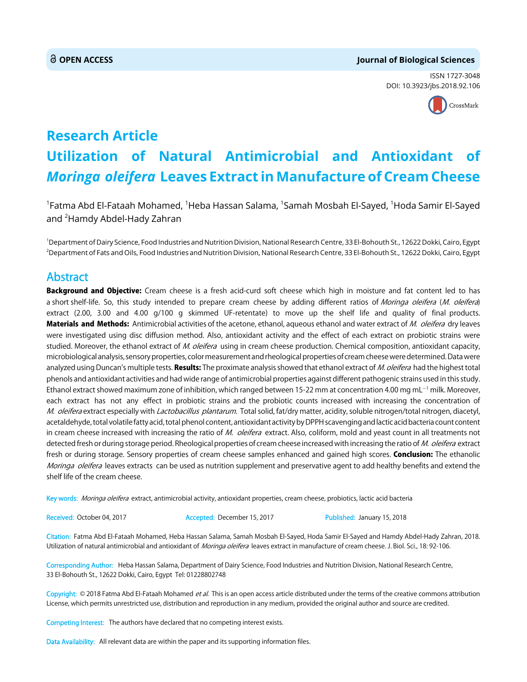## **OPEN ACCESS Journal of Biological Sciences**

ISSN 1727-3048 DOI: 10.3923/jbs.2018.92.106



# **Research Article Utilization of Natural Antimicrobial and Antioxidant of** *Moringa oleifera* **Leaves Extract in Manufacture of Cream Cheese**

 $^{\rm 1}$ Fatma Abd El-Fataah Mohamed,  $^{\rm 1}$ Heba Hassan Salama,  $^{\rm 1}$ Samah Mosbah El-Sayed,  $^{\rm 1}$ Hoda Samir El-Sayed and <sup>2</sup>Hamdy Abdel-Hady Zahran

1 Department of Dairy Science, Food Industries and Nutrition Division, National Research Centre, 33 El-Bohouth St., 12622 Dokki, Cairo, Egypt 2 Department of Fats and Oils, Food Industries and Nutrition Division, National Research Centre, 33 El-Bohouth St., 12622 Dokki, Cairo, Egypt

# Abstract

Background and Objective: Cream cheese is a fresh acid-curd soft cheese which high in moisture and fat content led to has a short shelf-life. So, this study intended to prepare cream cheese by adding different ratios of Moringa oleifera (M. oleifera) extract (2.00, 3.00 and 4.00 g/100 g skimmed UF-retentate) to move up the shelf life and quality of final products. Materials and Methods: Antimicrobial activities of the acetone, ethanol, aqueous ethanol and water extract of M. oleifera dry leaves were investigated using disc diffusion method. Also, antioxidant activity and the effect of each extract on probiotic strains were studied. Moreover, the ethanol extract of M. oleifera using in cream cheese production. Chemical composition, antioxidant capacity, microbiological analysis, sensory properties, color measurement and rheological properties of cream cheese were determined. Data were analyzed using Duncan's multiple tests. Results: The proximate analysis showed that ethanol extract of M. oleifera had the highest total phenols and antioxidant activities and had wide range of antimicrobial properties against different pathogenic strains used in this study. Ethanol extract showed maximum zone of inhibition, which ranged between 15-22 mm at concentration 4.00 mg mL $^{-1}$  milk. Moreover, each extract has not any effect in probiotic strains and the probiotic counts increased with increasing the concentration of M. oleifera extract especially with Lactobacillus plantarum. Total solid, fat/dry matter, acidity, soluble nitrogen/total nitrogen, diacetyl, acetaldehyde, total volatile fatty acid, total phenol content, antioxidant activity by DPPH scavenging and lactic acid bacteria count content in cream cheese increased with increasing the ratio of M. oleifera extract. Also, coliform, mold and yeast count in all treatments not detected fresh or during storage period. Rheological properties of cream cheese increased with increasing the ratio of M. oleifera extract fresh or during storage. Sensory properties of cream cheese samples enhanced and gained high scores. Conclusion: The ethanolic Moringa oleifera leaves extracts can be used as nutrition supplement and preservative agent to add healthy benefits and extend the shelf life of the cream cheese.

Key words: Moringa oleifera extract, antimicrobial activity, antioxidant properties, cream cheese, probiotics, lactic acid bacteria

Received: October 04, 2017 Accepted: December 15, 2017 Published: January 15, 2018

Citation: Fatma Abd El-Fataah Mohamed, Heba Hassan Salama, Samah Mosbah El-Sayed, Hoda Samir El-Sayed and Hamdy Abdel-Hady Zahran, 2018. Utilization of natural antimicrobial and antioxidant of *Moringa oleifera* leaves extract in manufacture of cream cheese. J. Biol. Sci., 18: 92-106.

Corresponding Author: Heba Hassan Salama, Department of Dairy Science, Food Industries and Nutrition Division, National Research Centre, 33 El-Bohouth St., 12622 Dokki, Cairo, Egypt Tel: 01228802748

Copyright: © 2018 Fatma Abd El-Fataah Mohamed *et al.* This is an open access article distributed under the terms of the creative commons attribution License, which permits unrestricted use, distribution and reproduction in any medium, provided the original author and source are credited.

Competing Interest: The authors have declared that no competing interest exists.

Data Availability: All relevant data are within the paper and its supporting information files.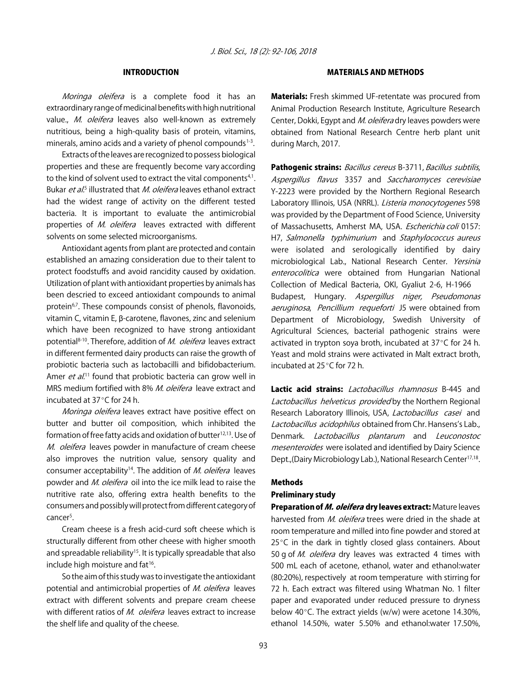### INTRODUCTION

Moringa oleifera is a complete food it has an extraordinary range of medicinal benefits with high nutritional value., M. oleifera leaves also well-known as extremely nutritious, being a high-quality basis of protein, vitamins, minerals, amino acids and a variety of phenol compounds $1-3$ .

Extracts of the leaves are recognized to possess biological properties and these are frequently become vary according to the kind of solvent used to extract the vital components<sup>4,1</sup>. Bukar *et al.*<sup>5</sup> illustrated that *M. oleifera* leaves ethanol extract had the widest range of activity on the different tested bacteria. It is important to evaluate the antimicrobial properties of *M. oleifera* leaves extracted with different solvents on some selected microorganisms.

Antioxidant agents from plant are protected and contain established an amazing consideration due to their talent to protect foodstuffs and avoid rancidity caused by oxidation. Utilization of plant with antioxidant properties by animals has been descried to exceed antioxidant compounds to animal protein<sup>6,7</sup>. These compounds consist of phenols, flavonoids, vitamin C, vitamin E, \$-carotene, flavones, zinc and selenium which have been recognized to have strong antioxidant potential<sup>8-10</sup>. Therefore, addition of *M. oleifera* leaves extract in different fermented dairy products can raise the growth of probiotic bacteria such as lactobacilli and bifidobacterium. Amer et  $aL^{11}$  found that probiotic bacteria can grow well in MRS medium fortified with 8% M. oleifera leave extract and incubated at  $37^{\circ}$ C for 24 h.

Moringa oleifera leaves extract have positive effect on butter and butter oil composition, which inhibited the formation of free fatty acids and oxidation of butter<sup>12,13</sup>. Use of M. oleifera leaves powder in manufacture of cream cheese also improves the nutrition value, sensory quality and consumer acceptability<sup>14</sup>. The addition of *M. oleifera* leaves powder and *M. oleifera* oil into the ice milk lead to raise the nutritive rate also, offering extra health benefits to the consumers and possibly will protect from different category of cancer<sup>5</sup>.

Cream cheese is a fresh acid-curd soft cheese which is structurally different from other cheese with higher smooth and spreadable reliability<sup>15</sup>. It is typically spreadable that also include high moisture and fat<sup>16</sup>.

So the aim of this study was to investigate the antioxidant potential and antimicrobial properties of *M. oleifera* leaves extract with different solvents and prepare cream cheese with different ratios of M. oleifera leaves extract to increase the shelf life and quality of the cheese.

#### MATERIALS AND METHODS

Materials: Fresh skimmed UF-retentate was procured from Animal Production Research Institute, Agriculture Research Center, Dokki, Egypt and *M. oleifera* dry leaves powders were obtained from National Research Centre herb plant unit during March, 2017.

Pathogenic strains: Bacillus cereus B-3711, Bacillus subtilis, Aspergillus flavus 3357 and Saccharomyces cerevisiae Y-2223 were provided by the Northern Regional Research Laboratory Illinois, USA (NRRL). Listeria monocytogenes 598 was provided by the Department of Food Science, University of Massachusetts, Amherst MA, USA. Escherichia coli 0157: H7, Salmonella typhimurium and Staphylococcus aureus were isolated and serologically identified by dairy microbiological Lab., National Research Center. Yersinia enterocolitica were obtained from Hungarian National Collection of Medical Bacteria, OKI, Gyaliut 2-6, H-1966 Budapest, Hungary. Aspergillus niger, Pseudomonas aeruginosa, Pencillium requeforti J5 were obtained from Department of Microbiology, Swedish University of Agricultural Sciences, bacterial pathogenic strains were activated in trypton soya broth, incubated at  $37^{\circ}$ C for 24 h. Yeast and mold strains were activated in Malt extract broth, incubated at  $25^{\circ}$ C for 72 h.

Lactic acid strains: *Lactobacillus rhamnosus* B-445 and Lactobacillus helveticus provided by the Northern Regional Research Laboratory Illinois, USA, Lactobacillus casei and Lactobacillus acidophilus obtained from Chr. Hansens's Lab., Denmark. Lactobacillus plantarum and Leuconostoc mesenteroides were isolated and identified by Dairy Science Dept., (Dairy Microbiology Lab.), National Research Center<sup>17,18</sup>.

#### **Methods**

#### Preliminary study

Preparation of M. oleifera dry leaves extract: Mature leaves harvested from *M. oleifera* trees were dried in the shade at room temperature and milled into fine powder and stored at  $25^{\circ}$ C in the dark in tightly closed glass containers. About 50 g of M. oleifera dry leaves was extracted 4 times with 500 mL each of acetone, ethanol, water and ethanol:water (80:20%), respectively at room temperature with stirring for 72 h. Each extract was filtered using Whatman No. 1 filter paper and evaporated under reduced pressure to dryness below 40 $\degree$ C. The extract yields (w/w) were acetone 14.30%, ethanol 14.50%, water 5.50% and ethanol:water 17.50%,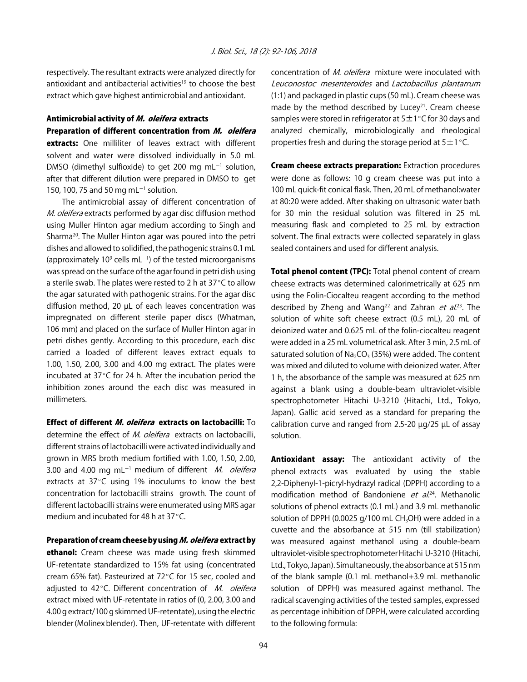respectively. The resultant extracts were analyzed directly for antioxidant and antibacterial activities<sup>19</sup> to choose the best extract which gave highest antimicrobial and antioxidant.

#### Antimicrobial activity of M. oleifera extracts

Preparation of different concentration from *M. oleifera* extracts: One milliliter of leaves extract with different solvent and water were dissolved individually in 5.0 mL DMSO (dimethyl sulfioxide) to get 200 mg m $L^{-1}$  solution, after that different dilution were prepared in DMSO to get 150, 100, 75 and 50 mg mL $^{-1}$  solution.

The antimicrobial assay of different concentration of M. oleifera extracts performed by agar disc diffusion method using Muller Hinton agar medium according to Singh and Sharma20. The Muller Hinton agar was poured into the petri dishes and allowed to solidified, the pathogenic strains 0.1 mL (approximately 10 $9$  cells mL<sup>-1</sup>) of the tested microorganisms was spread on the surface of the agar found in petri dish using a sterile swab. The plates were rested to 2 h at 37 $\degree$ C to allow the agar saturated with pathogenic strains. For the agar disc diffusion method, 20 µL of each leaves concentration was impregnated on different sterile paper discs (Whatman, 106 mm) and placed on the surface of Muller Hinton agar in petri dishes gently. According to this procedure, each disc carried a loaded of different leaves extract equals to 1.00, 1.50, 2.00, 3.00 and 4.00 mg extract. The plates were incubated at  $37^{\circ}$ C for 24 h. After the incubation period the inhibition zones around the each disc was measured in millimeters.

Effect of different *M. oleifera* extracts on lactobacilli:  $To$ determine the effect of *M. oleifera* extracts on lactobacilli, different strains of lactobacilli were activated individually and grown in MRS broth medium fortified with 1.00, 1.50, 2.00, 3.00 and 4.00 mg mL<sup>-1</sup> medium of different M. oleifera extracts at  $37^{\circ}$ C using 1% inoculums to know the best concentration for lactobacilli strains growth. The count of different lactobacilli strains were enumerated using MRS agar medium and incubated for 48 h at 37 $\degree$ C.

#### Preparation of cream cheese by using M. oleifera extract by

ethanol: Cream cheese was made using fresh skimmed UF-retentate standardized to 15% fat using (concentrated cream 65% fat). Pasteurized at 72 $\degree$ C for 15 sec, cooled and adjusted to 42 $\degree$ C. Different concentration of *M. oleifera* extract mixed with UF-retentate in ratios of (0, 2.00, 3.00 and 4.00 g extract/100 g skimmed UF-retentate), using the electric blender (Molinex blender). Then, UF-retentate with different

concentration of M. oleifera mixture were inoculated with Leuconostoc mesenteroides and Lactobacillus plantarrum (1:1) and packaged in plastic cups (50 mL). Cream cheese was made by the method described by Lucey<sup>21</sup>. Cream cheese samples were stored in refrigerator at  $5\pm1$  °C for 30 days and analyzed chemically, microbiologically and rheological properties fresh and during the storage period at  $5\pm1^{\circ}$ C.

**Cream cheese extracts preparation:** Extraction procedures were done as follows: 10 g cream cheese was put into a 100 mL quick-fit conical flask. Then, 20 mL of methanol:water at 80:20 were added. After shaking on ultrasonic water bath for 30 min the residual solution was filtered in 25 mL measuring flask and completed to 25 mL by extraction solvent. The final extracts were collected separately in glass sealed containers and used for different analysis.

Total phenol content (TPC): Total phenol content of cream cheese extracts was determined calorimetrically at 625 nm using the Folin-Ciocalteu reagent according to the method described by Zheng and Wang<sup>22</sup> and Zahran *et al.*<sup>23</sup>. The solution of white soft cheese extract (0.5 mL), 20 mL of deionized water and 0.625 mL of the folin-ciocalteu reagent were added in a 25 mL volumetrical ask. After 3 min, 2.5 mL of saturated solution of  $Na<sub>2</sub>CO<sub>3</sub>$  (35%) were added. The content was mixed and diluted to volume with deionized water. After 1 h, the absorbance of the sample was measured at 625 nm against a blank using a double-beam ultraviolet-visible spectrophotometer Hitachi U-3210 (Hitachi, Ltd., Tokyo, Japan). Gallic acid served as a standard for preparing the calibration curve and ranged from 2.5-20 µg/25 µL of assay solution.

Antioxidant assay: The antioxidant activity of the phenol extracts was evaluated by using the stable 2,2-Diphenyl-1-picryl-hydrazyl radical (DPPH) according to a modification method of Bandoniene et  $al^{24}$ . Methanolic solutions of phenol extracts (0.1 mL) and 3.9 mL methanolic solution of DPPH (0.0025  $q/100$  mL CH<sub>3</sub>OH) were added in a cuvette and the absorbance at 515 nm (till stabilization) was measured against methanol using a double-beam ultraviolet-visible spectrophotometer Hitachi U-3210 (Hitachi, Ltd., Tokyo, Japan). Simultaneously, the absorbance at 515 nm of the blank sample (0.1 mL methanol+3.9 mL methanolic solution of DPPH) was measured against methanol. The radical scavenging activities of the tested samples, expressed as percentage inhibition of DPPH, were calculated according to the following formula: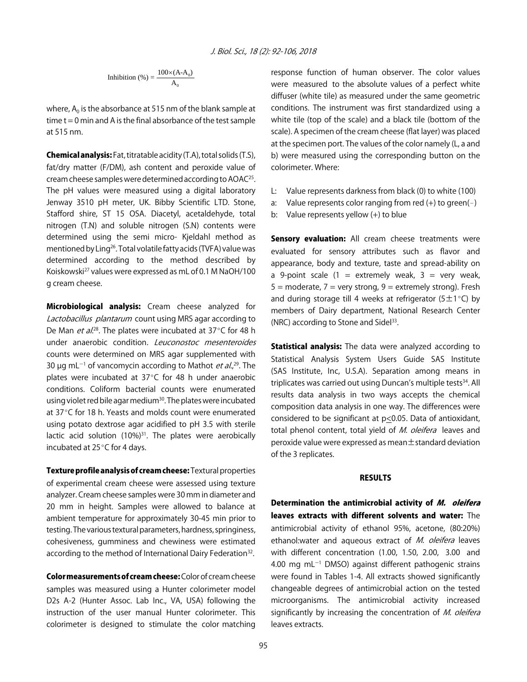$$
Inhibition (%) = \frac{100 \times (A-A_0)}{A_0}
$$

where,  $A_0$  is the absorbance at 515 nm of the blank sample at time  $t = 0$  min and A is the final absorbance of the test sample at 515 nm.

Chemical analysis: Fat, titratable acidity (T.A), total solids (T.S), fat/dry matter (F/DM), ash content and peroxide value of cream cheese samples were determined according to AOAC25. The pH values were measured using a digital laboratory Jenway 3510 pH meter, UK. Bibby Scientific LTD. Stone, Stafford shire, ST 15 OSA. Diacetyl, acetaldehyde, total nitrogen (T.N) and soluble nitrogen (S.N) contents were determined using the semi micro- Kjeldahl method as mentioned by Ling26. Total volatile fatty acids (TVFA) value was determined according to the method described by Koiskowski27 values were expressed as mL of 0.1 M NaOH/100 g cream cheese.

Microbiological analysis: Cream cheese analyzed for Lactobacillus plantarum count using MRS agar according to De Man et  $al^{28}$ . The plates were incubated at 37°C for 48 h under anaerobic condition. Leuconostoc mesenteroides counts were determined on MRS agar supplemented with 30 µg mL<sup>-1</sup> of vancomycin according to Mathot *et al.*,<sup>29</sup>. The plates were incubated at  $37^{\circ}$ C for 48 h under anaerobic conditions. Coliform bacterial counts were enumerated using violet red bile agar medium<sup>30</sup>. The plates were incubated at 37°C for 18 h. Yeasts and molds count were enumerated using potato dextrose agar acidified to pH 3.5 with sterile lactic acid solution  $(10\%)^{31}$ . The plates were aerobically incubated at  $25^{\circ}$ C for 4 days.

Texture profile analysis of cream cheese: Textural properties of experimental cream cheese were assessed using texture analyzer. Cream cheese samples were 30 mm in diameter and 20 mm in height. Samples were allowed to balance at ambient temperature for approximately 30-45 min prior to testing. The various textural parameters, hardness, springiness, cohesiveness, gumminess and chewiness were estimated according to the method of International Dairy Federation<sup>32</sup>.

Color measurements of cream cheese: Color of cream cheese samples was measured using a Hunter colorimeter model D2s A-2 (Hunter Assoc. Lab Inc., VA, USA) following the instruction of the user manual Hunter colorimeter. This colorimeter is designed to stimulate the color matching

response function of human observer. The color values were measured to the absolute values of a perfect white diffuser (white tile) as measured under the same geometric conditions. The instrument was first standardized using a white tile (top of the scale) and a black tile (bottom of the scale). A specimen of the cream cheese (flat layer) was placed at the specimen port. The values of the color namely (L, a and b) were measured using the corresponding button on the colorimeter. Where:

- L: Value represents darkness from black (0) to white (100)
- a: Value represents color ranging from red  $(+)$  to green $(-)$
- b: Value represents yellow (+) to blue

Sensory evaluation: All cream cheese treatments were evaluated for sensory attributes such as flavor and appearance, body and texture, taste and spread-ability on a 9-point scale  $(1 =$  extremely weak,  $3 =$  very weak,  $5 =$  moderate,  $7 =$  very strong,  $9 =$  extremely strong). Fresh and during storage till 4 weeks at refrigerator ( $5\pm1^{\circ}$ C) by members of Dairy department, National Research Center (NRC) according to Stone and Sidel<sup>33</sup>.

Statistical analysis: The data were analyzed according to Statistical Analysis System Users Guide SAS Institute (SAS Institute, Inc, U.S.A). Separation among means in triplicates was carried out using Duncan's multiple tests<sup>34</sup>. All results data analysis in two ways accepts the chemical composition data analysis in one way. The differences were considered to be significant at p<0.05. Data of antioxidant, total phenol content, total yield of M. oleifera leaves and peroxide value were expressed as mean±standard deviation of the 3 replicates.

#### RESULTS

Determination the antimicrobial activity of M. oleifera leaves extracts with different solvents and water: The antimicrobial activity of ethanol 95%, acetone, (80:20%) ethanol: water and aqueous extract of M. oleifera leaves with different concentration (1.00, 1.50, 2.00, 3.00 and 4.00 mg mL $^{-1}$  DMSO) against different pathogenic strains were found in Tables 1-4. All extracts showed significantly changeable degrees of antimicrobial action on the tested microorganisms. The antimicrobial activity increased significantly by increasing the concentration of M. oleifera leaves extracts.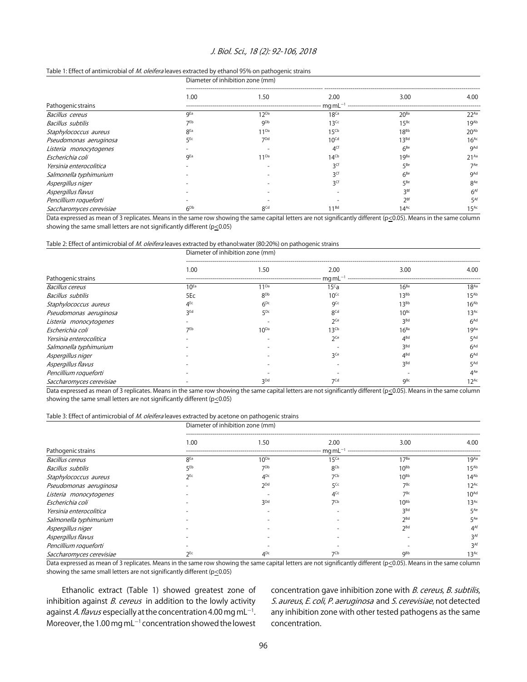#### Table 1: Effect of antimicrobial of *M. oleifera* leaves extracted by ethanol 95% on pathogenic strains

|                          |          | Diameter of inhibition zone (mm) |                  |                    |                    |
|--------------------------|----------|----------------------------------|------------------|--------------------|--------------------|
|                          | 00.1     | 1.50                             | 2.00             | 3.00               | 4.00               |
| Pathogenic strains       |          |                                  | mgmL             |                    |                    |
| <b>Bacillus</b> cereus   | QEa      | $12^{Da}$                        | 18 <sup>Ca</sup> | $20^{Ba}$          | $22^{Aa}$          |
| Bacillus subtilis        | 7Eb      | q <sup>Db</sup>                  | 13 <sup>cc</sup> | $15^{Bc}$          | $19^{Ab}$          |
| Staphylococcus aureus    | gEa      | 11Da                             | 15 <sup>cb</sup> | $18^{bb}$          | $20^{Ab}$          |
| Pseudomonas aeruginosa   | 5Ec      | 7Dd                              | 10 <sup>cd</sup> | 13 <sup>Bd</sup>   | $16^{Ac}$          |
| Listeria monocytogenes   |          |                                  | $4^{\text{C}}$   | $6^{Be}$           | <b>g</b> Ad        |
| Escherichia coli         | QEa      | $11^{Da}$                        | 14 <sup>cb</sup> | $19^{Ba}$          | $21^{Aa}$          |
| Yersinia enterocolitica  |          |                                  | ιSc              | 5 <sub>Be</sub>    | 7Ae                |
| Salmonella typhimurium   |          |                                  | Зc               | $6^{Be}$           | <b>g</b> Ad        |
| Aspergillus niger        |          |                                  | ιSc              | 5 <sub>Be</sub>    | 8 <sup>Ae</sup>    |
| Aspergillus flavus       |          |                                  |                  | 3 <sup>Bf</sup>    | 6 <sup>Af</sup>    |
| Pencillium roqueforti    |          |                                  |                  | 2 <sup>Bf</sup>    | 5 <sup>Af</sup>    |
| Saccharomyces cerevisiae | $6^{Db}$ | 8 <sub>Cd</sub>                  | $11^{Bd}$        | $14$ <sup>Ac</sup> | $15$ <sup>Ac</sup> |

Data expressed as mean of 3 replicates. Means in the same row showing the same capital letters are not significantly different ( $p \le 0.05$ ). Means in the same column showing the same small letters are not significantly different ( $p \le 0.05$ )

#### Table 2: Effect of antimicrobial of M. oleifera leaves extracted by ethanol:water (80:20%) on pathogenic strains

Diameter of inhibition zone (mm)

|                          | 1.00                       | 1.50       | 2.00          | 3.00            | 4.00              |
|--------------------------|----------------------------|------------|---------------|-----------------|-------------------|
| Pathogenic strains       |                            |            | $mgmL^{-1}$   |                 |                   |
| Bacillus cereus          | 10 <sup>Eq</sup>           | $11^{Da}$  | $15^{\circ}a$ | $16^{Ba}$       | $18^{Aa}$         |
| <b>Bacillus</b> subtilis | 5Ec                        | <b>RDP</b> | $10^{cc}$     | $13^{bb}$       | $15^{Ab}$         |
| Staphylococcus aureus    | 4 <sup>E<sub>c</sub></sup> | $6^{Dc}$   | qCc           | $13^{bb}$       | $16^{Ab}$         |
| Pseudomonas aeruginosa   | 3Ed                        | 5Dc        | <b>RCd</b>    | $10^{Bc}$       | 13Ac              |
| Listeria monocytogenes   |                            |            | $2$ Ce        | 3 <sub>Bq</sub> | 6 <sup>Ad</sup>   |
| Escherichia coli         | 7Eb                        | $10^{Da}$  | 13Cb          | $16^{Ba}$       | $19^{Aa}$         |
| Yersinia enterocolitica  |                            |            | $2$ Ce        | $4^{Bd}$        | 5 <sup>Ad</sup>   |
| Salmonella typhimurium   |                            |            |               | 3 <sub>Bq</sub> | 6 <sup>Ad</sup>   |
| Aspergillus niger        |                            |            | <b>3</b> Ce   | $4^{Bd}$        | 6 <sup>Ad</sup>   |
| Aspergillus flavus       |                            |            |               | 3 <sub>Bd</sub> | 5 <sup>Ad</sup>   |
| Pencillium roqueforti    |                            |            |               |                 | $4$ <sup>Ae</sup> |
| Saccharomyces cerevisiae |                            | <b>3Dq</b> | 7Cd           | gBc             | $12^{Ac}$         |

Data expressed as mean of 3 replicates. Means in the same row showing the same capital letters are not significantly different ( $p \le 0.05$ ). Means in the same column showing the same small letters are not significantly different ( $p \le 0.05$ )

#### Table 3: Effect of antimicrobial of M. oleifera leaves extracted by acetone on pathogenic strains

|                          |            | Diameter of inhibition zone (mm) |                  |                  |                    |
|--------------------------|------------|----------------------------------|------------------|------------------|--------------------|
|                          | 1.00       | . 50                             | 2.00             | 3.00             | 4.00               |
| Pathogenic strains       |            |                                  | mgmL             |                  |                    |
| <b>Bacillus cereus</b>   | gEa        | 10 <sup>Da</sup>                 | 15 <sup>Ca</sup> | 17 <sub>Ba</sub> | 19 <sup>Aa</sup>   |
| Bacillus subtilis        | ςEb        | 7Db                              | gCb              | $10^{8b}$        | $15^{Ab}$          |
| Staphylococcus aureus    | <b>DEC</b> | $4^{Dc}$                         | 7Cb              | $10^{8b}$        | $14^{Ab}$          |
| Pseudomonas aeruginosa   |            | 2Dd                              | 5Cc              | 7Bc              | $12^{Ac}$          |
| Listeria monocytogenes   |            |                                  | 4 <sup>CC</sup>  | 7Bc              | $10^{Ad}$          |
| Escherichia coli         |            | 2Dd                              | 7Cb              | $10^{bb}$        | $13$ <sup>Ac</sup> |
| Yersinia enterocolitica  |            |                                  |                  | 3 <sub>B</sub> q | $5^{\text{Ae}}$    |
| Salmonella typhimurium   |            |                                  |                  |                  | $5^{\text{Ae}}$    |
| Aspergillus niger        |            |                                  |                  | つBd              | 4 <sup>Af</sup>    |
| Aspergillus flavus       |            |                                  |                  |                  | 3Af                |
| Pencillium roqueforti    |            |                                  |                  |                  | 3 <sup>Af</sup>    |
| Saccharomyces cerevisiae |            |                                  |                  | QBb              | $13^{Ac}$          |

Data expressed as mean of 3 replicates. Means in the same row showing the same capital letters are not significantly different ( $p \le 0.05$ ). Means in the same column showing the same small letters are not significantly different ( $p \le 0.05$ )

Ethanolic extract (Table 1) showed greatest zone of inhibition against  $B$ . cereus in addition to the lowly activity against *A. flavus* especially at the concentration 4.00 mg mL<sup>-1</sup>. Moreover, the 1.00 mg mL $^{-1}$  concentration showed the lowest

concentration gave inhibition zone with  $B$ . cereus,  $B$ . subtilis, S. aureus, E. coli, P. aeruginosa and S. cerevisiae, not detected any inhibition zone with other tested pathogens as the same concentration.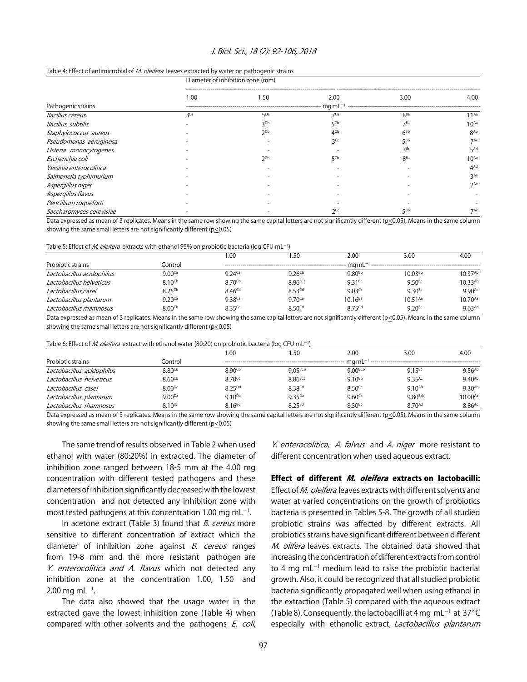#### Table 4: Effect of antimicrobial of M. oleifera leaves extracted by water on pathogenic strains

|                          |            | Diameter of inhibition zone (mm) |                |                 |                 |  |  |  |  |
|--------------------------|------------|----------------------------------|----------------|-----------------|-----------------|--|--|--|--|
|                          | 1.00       | 1.50                             | 2.00           | 3.00            | 4.00            |  |  |  |  |
| Pathogenic strains       |            |                                  | mg mL          |                 |                 |  |  |  |  |
| <b>Bacillus cereus</b>   | <b>QEa</b> | <b>қ</b> Dа                      | 7Ca            | RBa             | 11 Aa           |  |  |  |  |
| <b>Bacillus</b> subtilis |            | 3DP                              | ςCb            |                 | $10^{Aa}$       |  |  |  |  |
| Staphylococcus aureus    |            | ንDb                              |                | 6 <sup>BB</sup> | 8 <sup>Ab</sup> |  |  |  |  |
| Pseudomonas aeruginosa   |            |                                  | २ <sup>c</sup> | 5Bb             | $7$ Ac          |  |  |  |  |
| Listeria monocytogenes   |            |                                  |                | 3 <sub>Bc</sub> | 5 <sup>Ad</sup> |  |  |  |  |
| Escherichia coli         |            | ንDb                              | 5Cb            | $R^{\text{Ba}}$ | $10^{Aa}$       |  |  |  |  |
| Yersinia enterocolitica  |            |                                  |                |                 | $4^{Ad}$        |  |  |  |  |
| Salmonella typhimurium   |            |                                  |                |                 | 3 <sup>Ae</sup> |  |  |  |  |
| Aspergillus niger        |            |                                  |                |                 | $2^{Ae}$        |  |  |  |  |
| Aspergillus flavus       |            |                                  |                |                 |                 |  |  |  |  |
| Pencillium roqueforti    |            |                                  |                |                 |                 |  |  |  |  |
| Saccharomyces cerevisiae |            |                                  |                | ςBb             | 7Ac             |  |  |  |  |

Data expressed as mean of 3 replicates. Means in the same row showing the same capital letters are not significantly different (p<0.05). Means in the same column showing the same small letters are not significantly different (p<0.05)

Table 5: Effect of *M. oleifera* extracts with ethanol 95% on probiotic bacteria (log CFU mL<sup>-1</sup>)

|                           |                      | 1.00                 | .50                   | 2.00                 | 3.00         | 4.00                |
|---------------------------|----------------------|----------------------|-----------------------|----------------------|--------------|---------------------|
| Probiotic strains         | Control              |                      |                       | – mamL               |              |                     |
| Lactobacillus acidophilus | 9.00 <sup>Ca</sup>   | $9.24$ <sup>Ca</sup> | $9.26$ <sup>Cb</sup>  | $9.80^{Bb}$          | $10.03^{Bb}$ | 10.37 <sup>Ab</sup> |
| Lactobacillus helyeticus  | $8.10^{Cb}$          | 8.70 <sup>cb</sup>   | $8.96$ <sub>BCc</sub> | $9.31^{Bc}$          | $9.50^{Bc}$  | 10.33Ab             |
| Lactobacillus casei       | $8.25$ <sup>Cb</sup> | $8.46$ <sup>Cb</sup> | $8.53^{c}$            | $9.03$ <sup>Cc</sup> | $9.30^{Bc}$  | $9.90^{Ac}$         |
| Lactobacillus plantarum   | $9.20$ <sup>Ca</sup> | 9.38 <sup>Ca</sup>   | $9.70$ <sup>Ca</sup>  | $10.16^{Ba}$         | $10.51^{Aa}$ | $10.70^{Aa}$        |
| Lactobacillus rhamnosus   | 8.00 <sup>cb</sup>   | $8.35$ <sup>Cc</sup> | 8.50 <sup>cd</sup>    | 8.75 <sup>cd</sup>   | $9.20^{Bc}$  | $9.63^{Ad}$         |

Data expressed as mean of 3 replicates. Means in the same row showing the same capital letters are not significantly different ( $p \le 0.05$ ). Means in the same column showing the same small letters are not significantly different ( $p \le 0.05$ )

Table 6: Effect of *M. oleifera* extract with ethanol:water (80:20) on probiotic bacteria (log CFU mL $^{-1}$ )

|                           |                    | 1.00                 | .50                 | 2.00                  | 3.00                 | 4.00         |
|---------------------------|--------------------|----------------------|---------------------|-----------------------|----------------------|--------------|
| Probiotic strains         | Control            |                      |                     | $\cdot$ ma mL $^{-1}$ |                      |              |
| Lactobacillus acidophilus | 8.80 <sup>Ch</sup> | 8.90 <sup>cb</sup>   | $9.05^{BCb}$        | $9.00^{BCb}$          | $9.15^{Bc}$          | $9.56^{Ab}$  |
| Lactobacillus helveticus  | 8.60 <sup>cb</sup> | $8.70$ <sup>Cc</sup> | 8.86 <sup>BCc</sup> | $9.10^{8b}$           | $9.35$ <sup>Ac</sup> | $9.40^{Ab}$  |
| Lactobacillus casei       | 8.00 <sup>pc</sup> | 8.25 <sup>Dd</sup>   | 8.38 <sup>cd</sup>  | $8.50$ <sup>Cc</sup>  | $9.10^{AB}$          | $9.30^{Ab}$  |
| Lactobacillus plantarum   | $9.00^{Da}$        | $9.10^{Da}$          | $9.35^{Da}$         | $9.60$ <sup>Ca</sup>  | 9.80 <sup>Bab</sup>  | $10.00^{Aa}$ |
| Lactobacillus rhamnosus   | $8.10^{Bc}$        | 8.16 <sup>Bd</sup>   | 8.25 <sup>Bd</sup>  | 8.30 <sup>BC</sup>    | 8.70 <sup>Ad</sup>   | $8.86^{Ac}$  |

Data expressed as mean of 3 replicates. Means in the same row showing the same capital letters are not significantly different ( $p \le 0.05$ ). Means in the same column showing the same small letters are not significantly different (p<0.05)

The same trend of results observed in Table 2 when used ethanol with water (80:20%) in extracted. The diameter of inhibition zone ranged between 18-5 mm at the 4.00 mg concentration with different tested pathogens and these diameters of inhibition significantly decreased with the lowest concentration and not detected any inhibition zone with most tested pathogens at this concentration 1.00 mg mL $^{\rm -1}.$ 

In acetone extract (Table 3) found that  $B$ . cereus more sensitive to different concentration of extract which the diameter of inhibition zone against  $B$ . cereus ranges from 19-8 mm and the more resistant pathogen are Y. enterocolitica and A. flavus which not detected any inhibition zone at the concentration 1.00, 1.50 and  $2.00 \,\mathrm{mg} \,\mathrm{mL^{-1}}$ .

The data also showed that the usage water in the extracted gave the lowest inhibition zone (Table 4) when compared with other solvents and the pathogens  $E.$  coli,

Y. enterocolitica, A. falvus and A. niger more resistant to different concentration when used aqueous extract.

Effect of different M. oleifera extracts on lactobacilli: Effect of M. oleifera leaves extracts with different solvents and water at varied concentrations on the growth of probiotics bacteria is presented in Tables 5-8. The growth of all studied probiotic strains was affected by different extracts. All probiotics strains have significant different between different M. olifera leaves extracts. The obtained data showed that increasing the concentration of different extracts from control to 4 mg mL $^{-1}$  medium lead to raise the probiotic bacterial growth. Also, it could be recognized that all studied probiotic bacteria significantly propagated well when using ethanol in the extraction (Table 5) compared with the aqueous extract (Table 8). Consequently, the lactobacilli at 4 mg mL $^{-1}$  at 37 $^{\circ}$ C especially with ethanolic extract, Lactobacillus plantarum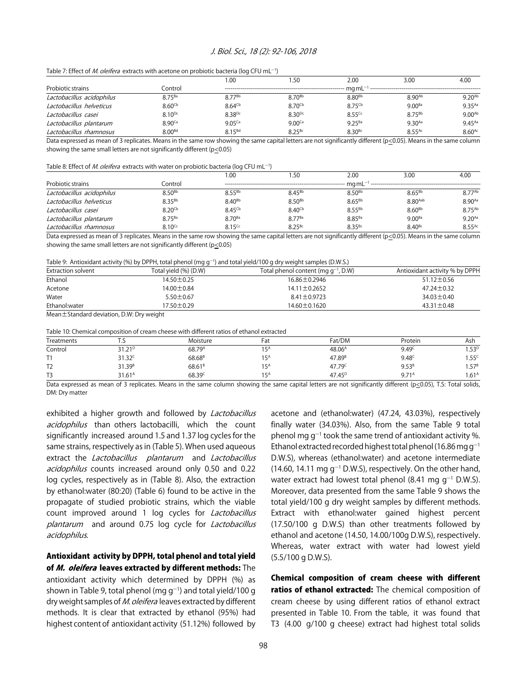#### Table 7: Effect of *M. oleifera* extracts with acetone on probiotic bacteria (log CFU mL<sup>-1</sup>)

|                           |                    | 00.1                 | .50                  | 2.00                 | 3.00                 | 4.00                 |
|---------------------------|--------------------|----------------------|----------------------|----------------------|----------------------|----------------------|
| Probiotic strains         | Control            |                      |                      | mamL                 |                      |                      |
| Lactobacillus acidophilus | $8.75^{Ba}$        | $8.77^{Bb}$          | $8.70^{Bb}$          | $8.80^{Bb}$          | 8.90 <sup>Ab</sup>   | $9.20^{Ab}$          |
| Lactobacillus helveticus  | 8.60 <sup>cb</sup> | $8.64$ <sup>Cb</sup> | 8.70 <sup>Cb</sup>   | $8.75^{cb}$          | $9.00^{Ba}$          | $9.35^{Aa}$          |
| Lactobacillus casei       | $8.10^{Dc}$        | 8.38 <sup>Dc</sup>   | $8.30^{Dc}$          | $8.55$ <sup>Cc</sup> | 8.75 <sup>Bb</sup>   | $9.00^{Ab}$          |
| Lactobacillus plantarum   | 8.90 <sup>Ca</sup> | 9.05 <sup>Ca</sup>   | 9.00 <sup>Ca</sup>   | $9.25^{Ba}$          | $9.30^{Aa}$          | $9.45^{Aa}$          |
| Lactobacillus rhamnosus   | 8.00 <sup>Bd</sup> | $8.15^{Bd}$          | $8.25$ <sub>Bc</sub> | 8.30 <sup>BC</sup>   | $8.55$ <sup>Ac</sup> | $8.60$ <sup>Ac</sup> |

Data expressed as mean of 3 replicates. Means in the same row showing the same capital letters are not significantly different (p<0.05). Means in the same column showing the same small letters are not significantly different (p<0.05)

| Table 8: Effect of <i>M. oleifera</i> extracts with water on probiotic bacteria (log CFU mL <sup>-1</sup> ) |  |  |  |
|-------------------------------------------------------------------------------------------------------------|--|--|--|
|-------------------------------------------------------------------------------------------------------------|--|--|--|

|                           |                      | 0.00                 | .50                | 2.00        | 3.00        | 4.00                 |
|---------------------------|----------------------|----------------------|--------------------|-------------|-------------|----------------------|
| Probiotic strains         | Control              |                      |                    | mgmL        |             |                      |
| Lactobacillus acidophilus | 8.50 <sup>BB</sup>   | $8.55^{Bb}$          | $8.45^{Bb}$        | $8.50^{Bb}$ | $8.65^{Bb}$ | 8.77 <sup>Ab</sup>   |
| Lactobacillus helveticus  | $8.35^{Bb}$          | $8.40^{8b}$          | $8.50^{8b}$        | $8.65^{Bb}$ | 8.80Aab     | $8.90^{Aa}$          |
| Lactobacillus casei       | 8.20 <sup>cb</sup>   | $8.45$ <sup>Cb</sup> | 8.40 <sup>Ch</sup> | $8.55^{Bb}$ | $8.60^{Bb}$ | 8.75 <sup>Ab</sup>   |
| Lactobacillus plantarum   | $8.75^{Ba}$          | $8.70^{Ba}$          | $8.77^{Ba}$        | $8.85^{Ba}$ | $9.00^{Ba}$ | $9.20^{Aa}$          |
| Lactobacillus rhamnosus   | $8.10$ <sup>Cc</sup> | $8.15$ <sup>Cc</sup> | $8.25^{Bc}$        | $8.35^{Bc}$ | $8.40^{Bc}$ | $8.55$ <sup>Ac</sup> |

Data expressed as mean of 3 replicates. Means in the same row showing the same capital letters are not significantly different ( $p \le 0.05$ ). Means in the same column showing the same small letters are not significantly different ( $p \le 0.05$ )

Table 9: Antioxidant activity (%) by DPPH, total phenol (mg g $^{-1}$ ) and total yield/100 g dry weight samples (D.W.S.)

|                    | $\cdots$              |                                          |                                |
|--------------------|-----------------------|------------------------------------------|--------------------------------|
| Extraction solvent | Total yield (%) (D.W) | Total phenol content (mg $q^{-1}$ , D.W) | Antioxidant activity % by DPPH |
| Ethanol            | 14.50 $\pm$ 0.25      | 16.86±0.2946                             | $51.12 \pm 0.56$               |
| Acetone            | 14.00±0.84            | $14.11 \pm 0.2652$                       | $47.24 \pm 0.32$               |
| Water              | $5.50 \pm 0.67$       | $8.41 \pm 0.9723$                        | $34.03 \pm 0.40$               |
| Ethanol:water      | 17.50±0.29            | 14.60 ± 0.1620                           | $43.31 \pm 0.48$               |
| .                  | _ _                   |                                          |                                |

Mean±Standard deviation, D.W: Dry weight

Table 10: Chemical composition of cream cheese with different ratios of ethanol extracted

| Treatments     | .                  | Moisture           | Fat   | Fat/DM             | Protein           | Ash              |
|----------------|--------------------|--------------------|-------|--------------------|-------------------|------------------|
| Control        | $31.21^{D}$        | 68.79 <sup>A</sup> | 1 5 A | 48.06 <sup>A</sup> | $9.49^{\circ}$    | .53 <sup>D</sup> |
|                | $31.32^c$          | 68.68 <sup>B</sup> | 1 E A | 47.89 <sup>B</sup> | 9.48 <sup>c</sup> | .55 <sup>c</sup> |
| T <sub>2</sub> | 31.39 <sup>B</sup> | $68.61^{B}$        | 15A   | 47.79 <sup>c</sup> | $9.53^{\text{E}}$ | $.57^B$          |
| T3             | 31.61 <sup>A</sup> | 68.39 <sup>c</sup> | 1 E A | $47.45^{D}$        | 9.71 <sup>A</sup> | $1.61^{\circ}$   |

Data expressed as mean of 3 replicates. Means in the same column showing the same capital letters are not significantly different (p<0.05), T.S: Total solids, DM: Dry matter

exhibited a higher growth and followed by *Lactobacillus* acidophilus than others lactobacilli, which the count significantly increased around 1.5 and 1.37 log cycles for the same strains, respectively as in (Table 5). When used aqueous extract the Lactobacillus plantarum and Lactobacillus acidophilus counts increased around only 0.50 and 0.22 log cycles, respectively as in (Table 8). Also, the extraction by ethanol:water (80:20) (Table 6) found to be active in the propagate of studied probiotic strains, which the viable count improved around 1 log cycles for *Lactobacillus* plantarum and around 0.75 log cycle for Lactobacillus acidophilus.

Antioxidant activity by DPPH, total phenol and total yield of *M. oleifera* leaves extracted by different methods: The antioxidant activity which determined by DPPH (%) as shown in Table 9, total phenol (mg  $g^{-1}$ ) and total yield/100 g dry weight samples of M. oleifera leaves extracted by different methods. It is clear that extracted by ethanol (95%) had highest content of antioxidant activity (51.12%) followed by

acetone and (ethanol:water) (47.24, 43.03%), respectively finally water (34.03%). Also, from the same Table 9 total phenol mg  $g^{-1}$  took the same trend of antioxidant activity %. Ethanol extracted recorded highest total phenol (16.86 mg  $q^{-1}$ D.W.S), whereas (ethanol:water) and acetone intermediate (14.60, 14.11 mg  $g^{-1}$  D.W.S), respectively. On the other hand, water extract had lowest total phenol (8.41 mg  $g^{-1}$  D.W.S). Moreover, data presented from the same Table 9 shows the total yield/100 g dry weight samples by different methods. Extract with ethanol:water gained highest percent (17.50/100 g D.W.S) than other treatments followed by ethanol and acetone (14.50, 14.00/100g D.W.S), respectively. Whereas, water extract with water had lowest yield (5.5/100 g D.W.S).

Chemical composition of cream cheese with different ratios of ethanol extracted: The chemical composition of cream cheese by using different ratios of ethanol extract presented in Table 10. From the table, it was found that T3 (4.00 g/100 g cheese) extract had highest total solids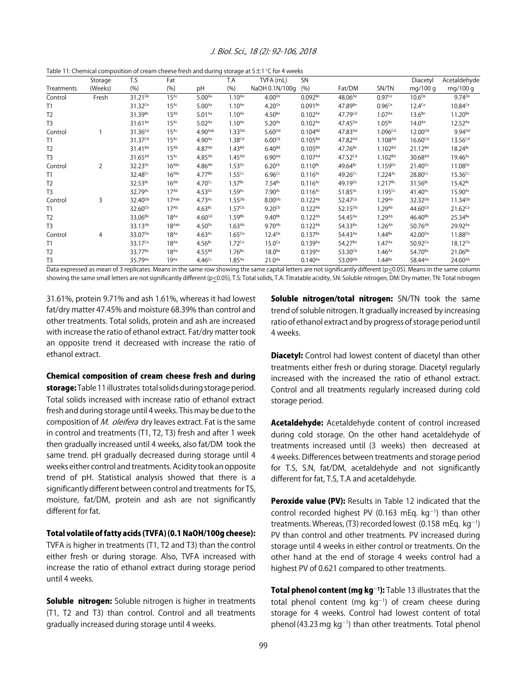|                | Storage        | T.S                   | Fat                |                      | T.A                  | TVFA (mL)            | <b>SN</b>             |                       |                       | Diacetyl              | Acetaldehyde          |
|----------------|----------------|-----------------------|--------------------|----------------------|----------------------|----------------------|-----------------------|-----------------------|-----------------------|-----------------------|-----------------------|
| Treatments     | (Weeks)        | (% )                  | (%)                | pH                   | (%)                  | NaOH 0.1N/100g       | (%)                   | Fat/DM                | SN/TN                 | mg/100 g              | mg/100 $q$            |
| Control        | Fresh          | $31.21^{De}$          | $15$ <sup>Ac</sup> | $5.00^{Aa}$          | $1.10^{Ae}$          | 4.00 <sup>De</sup>   | $0.092^{Be}$          | $48.06^{Ae}$          | $0.97$ <sup>Ce</sup>  | 10.6 <sup>De</sup>    | 9.74 <sup>De</sup>    |
| T1             |                | 31.32 <sup>Ce</sup>   | $15^{Ac}$          | $5.00^{Aa}$          | $1.10^{Ae}$          | $4.20$ <sup>Ce</sup> | $0.091^{Be}$          | 47.89 <sup>Be</sup>   | $0.96$ <sup>Ce</sup>  | $12.4$ <sup>Ce</sup>  | $10.84$ <sup>Ce</sup> |
| T <sub>2</sub> |                | $31.39^{Be}$          | $15^{Ab}$          | 5.01 <sup>Aa</sup>   | $1.10^{Ae}$          | 4.50 <sup>Be</sup>   | $0.102$ <sup>Ae</sup> | 47.79 <sup>cd</sup>   | $1.07^{Ae}$           | $13.6^{Be}$           | $11.20^{Be}$          |
| T <sub>3</sub> |                | $31.61^{Ae}$          | $15^{Ac}$          | $5.02^{Aa}$          | $1.10^{Ae}$          | $5.20$ <sup>Ae</sup> | $0.102$ <sup>Ae</sup> | $47.45^{De}$          | $1.05^{Be}$           | $14.0^{Ae}$           | 12.52Ae               |
| Control        |                | 31.36 <sup>cd</sup>   | $15^{Ac}$          | 4.90 <sup>Aab</sup>  | $1.33^{Dd}$          | 5.60 <sup>dd</sup>   | $0.104^{Bd}$          | 47.83 <sup>Ad</sup>   | 1.096 <sup>cd</sup>   | $12.00^{Dd}$          | $9.94^{Dd}$           |
| T1             |                | 31.37 <sup>cd</sup>   | $15^{Ac}$          | $4.90^{Aa}$          | 1.38 <sup>cd</sup>   | 6.00 <sup>cd</sup>   | $0.105^{Bd}$          | 47.82 <sup>Ad</sup>   | 1.108 <sup>Ad</sup>   | 16.60 <sup>cd</sup>   | 13.56 <sup>cd</sup>   |
| T <sub>2</sub> |                | 31.41 <sup>Bd</sup>   | 15 <sub>Ab</sub>   | 4.87Ab               | $1.43^{Bd}$          | 6.40 <sup>Bd</sup>   | $0.105^{Bd}$          | 47.76 <sup>Be</sup>   | $1.102^{Bd}$          | 21.12 <sup>Bd</sup>   | $18.24^{Bc}$          |
| T <sub>3</sub> |                | 31.65 <sup>Ad</sup>   | $15^{Ac}$          | $4.85^{Ab}$          | 1.45 <sup>Ad</sup>   | 6.90 <sup>Ad</sup>   | 0.107 <sup>Ad</sup>   | 47.52 <sup>cd</sup>   | $1.102^{Bd}$          | 30.68 <sup>Ad</sup>   | 19.46 <sup>Ac</sup>   |
| Control        | $\overline{2}$ | 32.23 <sup>Dc</sup>   | $16^{Abc}$         | 4.86 <sup>Ab</sup>   | $1.53^{Dc}$          | $6.20^{Dc}$          | $0.110^{Bc}$          | 49.64 <sup>Bc</sup>   | $1.159^{Dc}$          | $21.40^{Dc}$          | $11.08^{Dc}$          |
| T1             |                | $32.48$ <sup>Cc</sup> | $16^{Abc}$         | $4.77^{Bb}$          | $1.55$ <sup>Cc</sup> | $6.96$ <sup>Cc</sup> | $0.116^{Ac}$          | $49.26$ <sup>Cc</sup> | $1.224$ <sup>Ac</sup> | $28.80$ <sup>Cc</sup> | $15.36$ <sup>Cc</sup> |
| T <sub>2</sub> |                | 32.53 <sup>Bc</sup>   | $16^{Ab}$          | $4.70$ <sup>Cc</sup> | 1.57 <sup>BC</sup>   | $7.54$ <sup>Bc</sup> | $0.116^{Ac}$          | 49.19 <sup>Dc</sup>   | $1.217^{Bc}$          | $31.56^{Bc}$          | $15.42^{Bc}$          |
| T <sub>3</sub> |                | 32.79Ac               | 17 <sup>Ab</sup>   | $4.53^{Dc}$          | $1.59$ <sup>Ac</sup> | 7.90 <sup>Ac</sup>   | $0.116^{Ac}$          | $51.85$ <sup>Ac</sup> | $1.195$ <sup>Cc</sup> | $41.40^{Ac}$          | 15.90 <sup>Ac</sup>   |
| Control        | 3              | 32.40 <sup>Db</sup>   | 17 <sup>Aab</sup>  | $4.73$ <sup>Ac</sup> | $1.55^{Db}$          | 8.00 <sup>Db</sup>   | $0.122^{Ab}$          | 52.47 <sup>Cb</sup>   | 1.29 <sub>Ab</sub>    | 32.32 <sup>Db</sup>   | $11.34^{Db}$          |
| T1             |                | 32.60 <sup>Cb</sup>   | 17 <sub>Ab</sub>   | 4.63Bc               | 1.57 <sup>cb</sup>   | $9.20$ <sup>Cb</sup> | $0.122^{Ab}$          | 52.15 <sup>Db</sup>   | 1.29Ab                | 44.60 <sup>Cb</sup>   | $21.62$ <sup>Ca</sup> |
| T <sub>2</sub> |                | 33.06 <sup>Bb</sup>   | 18 <sup>Aa</sup>   | 4.60 <sup>cd</sup>   | $1.59^{8b}$          | $9.40^{8b}$          | $0.122^{Ab}$          | 54.45Aa               | 1.29 <sub>Ab</sub>    | $46.40^{8b}$          | 25.34 <sup>Ba</sup>   |
| T <sub>3</sub> |                | 33.13Ab               | $18^{Aab}$         | $4.50^{Dc}$          | $1.63^{Ab}$          | 9.70 <sup>Ab</sup>   | $0.122^{Ab}$          | $54.33^{Ba}$          | $1.26^{Ab}$           | 50.76 <sup>Ab</sup>   | 29.92Aa               |
| Control        | $\overline{4}$ | 33.07 <sup>Da</sup>   | 18 <sup>Aa</sup>   | $4.63$ <sup>Ac</sup> | $1.65^{Da}$          | $12.4^{Da}$          | $0.137^{Ba}$          | 54.43Aa               | $1.44^{Ba}$           | $42.00^{Da}$          | $11.88^{Da}$          |
| T1             |                | $33.17$ <sup>Ca</sup> | $18^{Aa}$          | $4.56$ <sup>Bc</sup> | 1.72 <sup>Ca</sup>   | 15.0 <sup>Ca</sup>   | $0.139^{Aa}$          | 54.27 <sup>Ba</sup>   | $1.47^{Aa}$           | $50.92$ <sup>Ca</sup> | $18.12^{cb}$          |
| T <sub>2</sub> |                | $33.77^{Ba}$          | 18 <sup>Aa</sup>   | 4.55 <sup>Bd</sup>   | $1.76^{Ba}$          | $18.0^{Ba}$          | $0.139^{Aa}$          | 53.30 <sup>Cb</sup>   | $1.46^{Aa}$           | 54.70 <sup>Ba</sup>   | $21.06^{Bb}$          |
| T <sub>3</sub> |                | $35.79$ <sup>Aa</sup> | 19 <sup>Aa</sup>   | $4.46$ <sup>Cc</sup> | $1.85^{Aa}$          | $21.0^{Aa}$          | $0.140^{Aa}$          | 53.09 <sup>Db</sup>   | $1.44^{Ba}$           | 58.44 <sup>Aa</sup>   | 24.60 <sup>Ab</sup>   |

Table 11: Chemical composition of cream cheese fresh and during storage at  $5\pm1$  °C for 4 weeks

Data expressed as mean of 3 replicates. Means in the same row showing the same capital letters are not significantly different ( $p \le 0.05$ ). Means in the same column showing the same small letters are not significantly different (p<0.05), T.S: Total solids, T.A: Titratable acidity, SN: Soluble nitrogen, DM: Dry matter, TN: Total nitrogen

31.61%, protein 9.71% and ash 1.61%, whereas it had lowest fat/dry matter 47.45% and moisture 68.39% than control and other treatments. Total solids, protein and ash are increased with increase the ratio of ethanol extract. Fat/dry matter took an opposite trend it decreased with increase the ratio of ethanol extract.

Chemical composition of cream cheese fresh and during storage: Table 11 illustrates total solids during storage period. Total solids increased with increase ratio of ethanol extract fresh and during storage until 4 weeks. This may be due to the composition of M. oleifera dry leaves extract. Fat is the same in control and treatments (T1, T2, T3) fresh and after 1 week then gradually increased until 4 weeks, also fat/DM took the same trend. pH gradually decreased during storage until 4

weeks either control and treatments. Acidity took an opposite trend of pH. Statistical analysis showed that there is a significantly different between control and treatments for TS, moisture, fat/DM, protein and ash are not significantly different for fat.

#### Total volatile of fatty acids (TVFA) (0.1 NaOH/100g cheese):

TVFA is higher in treatments (T1, T2 and T3) than the control either fresh or during storage. Also, TVFA increased with increase the ratio of ethanol extract during storage period until 4 weeks.

**Soluble nitrogen:** Soluble nitrogen is higher in treatments (T1, T2 and T3) than control. Control and all treatments gradually increased during storage until 4 weeks.

Soluble nitrogen/total nitrogen: SN/TN took the same trend of soluble nitrogen. It gradually increased by increasing ratio of ethanol extract and by progress of storage period until 4 weeks.

Diacetyl: Control had lowest content of diacetyl than other treatments either fresh or during storage. Diacetyl regularly increased with the increased the ratio of ethanol extract. Control and all treatments regularly increased during cold storage period.

Acetaldehyde: Acetaldehyde content of control increased during cold storage. On the other hand acetaldehyde of treatments increased until (3 weeks) then decreased at 4 weeks. Differences between treatments and storage period for T.S, S.N, fat/DM, acetaldehyde and not significantly different for fat, T.S, T.A and acetaldehyde.

Peroxide value (PV): Results in Table 12 indicated that the control recorded highest PV (0.163 mEq.  $kg^{-1}$ ) than other treatments. Whereas, (T3) recorded lowest  $(0.158 \text{ mEq. kg}^{-1})$ PV than control and other treatments. PV increased during storage until 4 weeks in either control or treatments. On the other hand at the end of storage 4 weeks control had a highest PV of 0.621 compared to other treatments.

**Total phenol content (mg kg** $^{-1}$ **):** Table 13 illustrates that the total phenol content (mg  $kg<sup>-1</sup>$ ) of cream cheese during storage for 4 weeks. Control had lowest content of total phenol (43.23 mg  $kg^{-1}$ ) than other treatments. Total phenol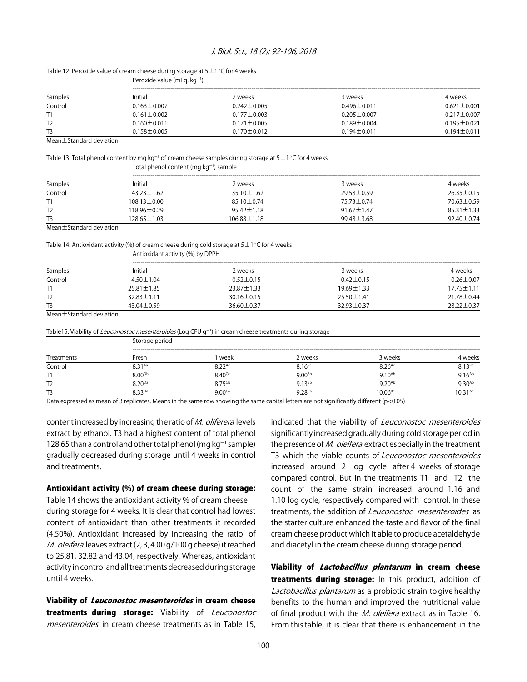|                           |                                                                                                                                      | Peroxide value (mEq. kq <sup>-1</sup> ) |                  |                      |                   |  |  |
|---------------------------|--------------------------------------------------------------------------------------------------------------------------------------|-----------------------------------------|------------------|----------------------|-------------------|--|--|
| Samples                   | Initial                                                                                                                              | 2 weeks                                 |                  | 3 weeks              | 4 weeks           |  |  |
| Control                   | $0.163 \pm 0.007$                                                                                                                    | $0.242 \pm 0.005$                       |                  | $0.496 \pm 0.011$    | $0.621 \pm 0.001$ |  |  |
| T1                        | $0.161 \pm 0.002$                                                                                                                    | $0.177 \pm 0.003$                       |                  | $0.205 \pm 0.007$    | $0.217 \pm 0.007$ |  |  |
| T <sub>2</sub>            | $0.160 \pm 0.011$                                                                                                                    | $0.171 \pm 0.005$                       |                  | $0.189 \pm 0.004$    | $0.195 \pm 0.021$ |  |  |
| T <sub>3</sub>            | $0.158 \pm 0.005$                                                                                                                    | $0.170 \pm 0.012$                       |                  | $0.194 \pm 0.011$    | $0.194 \pm 0.011$ |  |  |
| Mean ± Standard deviation |                                                                                                                                      |                                         |                  |                      |                   |  |  |
|                           | Table 13: Total phenol content by mg kg <sup>-1</sup> of cream cheese samples during storage at $5\pm1$ °C for 4 weeks               |                                         |                  |                      |                   |  |  |
|                           | Total phenol content (mg $kg^{-1}$ ) sample                                                                                          |                                         |                  |                      |                   |  |  |
| Samples                   | Initial                                                                                                                              | 2 weeks                                 |                  | 3 weeks              | 4 weeks           |  |  |
| Control                   | $43.23 \pm 1.62$                                                                                                                     | 35.10 ± 1.62                            |                  | 29.58±0.59           | 26.35±0.15        |  |  |
| T <sub>1</sub>            | $108.13 \pm 0.00$                                                                                                                    | 85.10±0.74                              |                  | 75.73±0.74           | 70.63±0.59        |  |  |
| T <sub>2</sub>            | 118.96±0.29                                                                                                                          | $95.42 \pm 1.18$                        |                  | $91.67 \pm 1.47$     | $85.31 \pm 1.33$  |  |  |
| T <sub>3</sub>            | $128.65 \pm 1.03$                                                                                                                    | 106.88 ± 1.18                           | 99.48 ± 3.68     |                      | $92.40 \pm 0.74$  |  |  |
|                           | Table 14: Antioxidant activity (%) of cream cheese during cold storage at $5\pm1$ °C for 4 weeks<br>Antioxidant activity (%) by DPPH |                                         |                  |                      |                   |  |  |
| Samples                   | Initial                                                                                                                              | 2 weeks                                 | 3 weeks          |                      | 4 weeks           |  |  |
| Control                   | $4.50 \pm 1.04$                                                                                                                      | $0.52 \pm 0.15$                         |                  | $0.42 \pm 0.15$      | $0.26 \pm 0.07$   |  |  |
| T <sub>1</sub>            | $25.81 \pm 1.85$                                                                                                                     | 23.87±1.33                              |                  | 19.69 ± 1.33         | 17.75±1.11        |  |  |
| T <sub>2</sub>            | 32.83±1.11                                                                                                                           | 30.16±0.15                              | $25.50 \pm 1.41$ |                      | 21.78±0.44        |  |  |
| T <sub>3</sub>            | 43.04±0.59                                                                                                                           | 36.60±0.37                              | 32.93±0.37       |                      | 28.22±0.37        |  |  |
| Mean ± Standard deviation |                                                                                                                                      |                                         |                  |                      |                   |  |  |
|                           | Table15: Viability of Leuconostoc mesenteroides (Log CFU q <sup>-1</sup> ) in cream cheese treatments during storage                 |                                         |                  |                      |                   |  |  |
|                           | Storage period                                                                                                                       |                                         |                  |                      |                   |  |  |
| Treatments                | Fresh                                                                                                                                | 1 week                                  | 2 weeks          | 3 weeks              | 4 weeks           |  |  |
| Control                   | $8.31^{Aa}$                                                                                                                          | $8.22$ <sup>Ac</sup>                    | $8.16^{Bc}$      | $8.26$ <sup>Ac</sup> | $8.13^{Bc}$       |  |  |
| T1                        | 8.00 <sup>Db</sup>                                                                                                                   | $8.40$ <sup>Cc</sup>                    | $9.00^{Bb}$      | $9.10^{Ab}$          | $9.16^{Ab}$       |  |  |
| T <sub>2</sub>            | $8.20^{Da}$                                                                                                                          | 8.75c                                   | $9.13^{Bb}$      | $9.20^{Ab}$          | $9.30^{Ab}$       |  |  |

 $73$  8.33 $^{\rm Da}$  8.33 $^{\rm Da}$  9.00 $^{\rm Ca}$  9.28 $^{\rm Ca}$  9.28 10.06 $^{\rm Ba}$  10.31 $^{\rm Aa}$ 

#### Table 12: Peroxide value of cream cheese during storage at  $5\pm1$  °C for 4 weeks

Data expressed as mean of 3 replicates. Means in the same row showing the same capital letters are not significantly different (p<0.05)

content increased by increasing the ratio of M. oliferera levels extract by ethanol. T3 had a highest content of total phenol 128.65 than a control and other total phenol (mg  $kg^{-1}$  sample) gradually decreased during storage until 4 weeks in control and treatments.

#### Antioxidant activity (%) of cream cheese during storage:

Table 14 shows the antioxidant activity % of cream cheese during storage for 4 weeks. It is clear that control had lowest content of antioxidant than other treatments it recorded (4.50%). Antioxidant increased by increasing the ratio of M. oleifera leaves extract (2, 3, 4.00 g/100 g cheese) it reached to 25.81, 32.82 and 43.04, respectively. Whereas, antioxidant activity in control and all treatments decreased during storage until 4 weeks.

Viability of *Leuconostoc mesenteroides* in cream cheese treatments during storage: Viability of Leuconostoc mesenteroides in cream cheese treatments as in Table 15.

indicated that the viability of Leuconostoc mesenteroides significantly increased gradually during cold storage period in the presence of M. oleifera extract especially in the treatment T3 which the viable counts of Leuconostoc mesenteroides increased around 2 log cycle after 4 weeks of storage compared control. But in the treatments T1 and T2 the count of the same strain increased around 1.16 and 1.10 log cycle, respectively compared with control. In these treatments, the addition of *Leuconostoc mesenteroides* as the starter culture enhanced the taste and flavor of the final cream cheese product which it able to produce acetaldehyde and diacetyl in the cream cheese during storage period.

Viability of Lactobacillus plantarum in cream cheese treatments during storage: In this product, addition of Lactobacillus plantarum as a probiotic strain to give healthy benefits to the human and improved the nutritional value of final product with the *M. oleifera* extract as in Table 16. From this table, it is clear that there is enhancement in the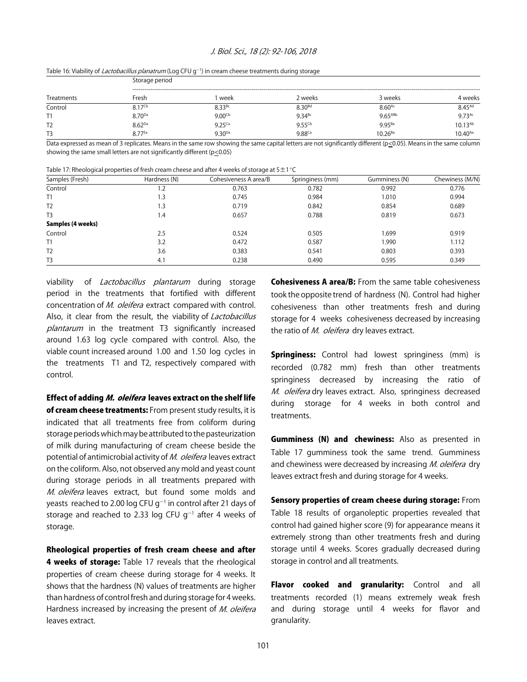| Treatments | Storage period     |                      |                      |                       |                      |  |  |
|------------|--------------------|----------------------|----------------------|-----------------------|----------------------|--|--|
|            | Fresh              | week                 | 2 weeks              | 3 weeks               | 4 weeks              |  |  |
| Control    | 8.17 <sup>cb</sup> | $8.33^{Bc}$          | 8.30 <sup>Bd</sup>   | $8.60^{Ac}$           | 8.45 <sup>Ad</sup>   |  |  |
| T1         | $8.70^{Da}$        | 9.00 <sup>Ch</sup>   | $9.34$ <sub>Bc</sub> | $9.65$ <sup>ABb</sup> | $9.73$ <sup>Ac</sup> |  |  |
| T2         | $8.62^{Da}$        | $9.25$ <sup>Ca</sup> | $9.55^{cb}$          | $9.95^{Ba}$           | $10.13^{Ab}$         |  |  |
| T3         | 8 77Ea             | $9.30^{Da}$          | $9.88$ <sup>Ca</sup> | $10.26^{Ba}$          | $10.40^{Aa}$         |  |  |

Table 16: Viability of *Lactobacillus planatrum* (Log CFU g<sup>-1</sup>) in cream cheese treatments during storage

Data expressed as mean of 3 replicates. Means in the same row showing the same capital letters are not significantly different (p<0.05). Means in the same column showing the same small letters are not significantly different ( $p \le 0.05$ )

|  |  |  | Table 17: Rheological properties of fresh cream cheese and after 4 weeks of storage at 5 $\pm$ 1°C $\,$ |
|--|--|--|---------------------------------------------------------------------------------------------------------|
|--|--|--|---------------------------------------------------------------------------------------------------------|

| Samples (Fresh)   | Hardness (N)     | Cohesiveness A area/B | Springiness (mm) | Gumminess (N) | Chewiness (M/N) |
|-------------------|------------------|-----------------------|------------------|---------------|-----------------|
| Control           | 1.2              | 0.763                 | 0.782            | 0.992         | 0.776           |
| T1                | 1.3              | 0.745                 | 0.984            | 1.010         | 0.994           |
| T <sub>2</sub>    | $\overline{1.3}$ | 0.719                 | 0.842            | 0.854         | 0.689           |
| T <sub>3</sub>    | 1.4              | 0.657                 | 0.788            | 0.819         | 0.673           |
| Samples (4 weeks) |                  |                       |                  |               |                 |
| Control           | 2.5              | 0.524                 | 0.505            | 1.699         | 0.919           |
| T1                | 3.2              | 0.472                 | 0.587            | 1.990         | 1.112           |
| T <sub>2</sub>    | 3.6              | 0.383                 | 0.541            | 0.803         | 0.393           |
| T <sub>3</sub>    | 4.1              | 0.238                 | 0.490            | 0.595         | 0.349           |

viability of *Lactobacillus plantarum* during storage period in the treatments that fortified with different concentration of M. oleifera extract compared with control. Also, it clear from the result, the viability of Lactobacillus plantarum in the treatment T3 significantly increased around 1.63 log cycle compared with control. Also, the viable count increased around 1.00 and 1.50 log cycles in the treatments T1 and T2, respectively compared with control.

Effect of adding *M. oleifera* leaves extract on the shelf life of cream cheese treatments: From present study results, it is indicated that all treatments free from coliform during storage periods which may be attributed to the pasteurization of milk during manufacturing of cream cheese beside the potential of antimicrobial activity of M. oleifera leaves extract on the coliform. Also, not observed any mold and yeast count during storage periods in all treatments prepared with M. oleifera leaves extract, but found some molds and yeasts reached to 2.00 log CFU g $^{-1}$  in control after 21 days of storage and reached to 2.33 log CFU  $g^{-1}$  after 4 weeks of storage.

Rheological properties of fresh cream cheese and after 4 weeks of storage: Table 17 reveals that the rheological properties of cream cheese during storage for 4 weeks. It shows that the hardness (N) values of treatments are higher than hardness of control fresh and during storage for 4 weeks. Hardness increased by increasing the present of *M. oleifera* leaves extract.

**Cohesiveness A area/B:** From the same table cohesiveness took the opposite trend of hardness (N). Control had higher cohesiveness than other treatments fresh and during storage for 4 weeks cohesiveness decreased by increasing the ratio of M. oleifera dry leaves extract.

Springiness: Control had lowest springiness (mm) is recorded (0.782 mm) fresh than other treatments springiness decreased by increasing the ratio of M. oleifera dry leaves extract. Also, springiness decreased during storage for 4 weeks in both control and treatments.

Gumminess (N) and chewiness: Also as presented in Table 17 gumminess took the same trend. Gumminess and chewiness were decreased by increasing M. oleifera dry leaves extract fresh and during storage for 4 weeks.

Sensory properties of cream cheese during storage: From Table 18 results of organoleptic properties revealed that control had gained higher score (9) for appearance means it extremely strong than other treatments fresh and during storage until 4 weeks. Scores gradually decreased during storage in control and all treatments.

Flavor cooked and granularity: Control and all treatments recorded (1) means extremely weak fresh and during storage until 4 weeks for flavor and granularity.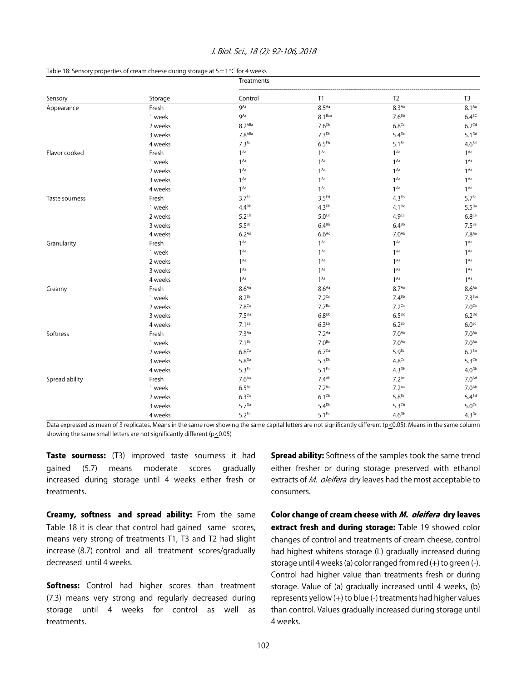|                | Table To: Serisory properties of cream cheese during storage at $3\pm1$ C for 4 weeks | Treatments          |                     |                   |                      |
|----------------|---------------------------------------------------------------------------------------|---------------------|---------------------|-------------------|----------------------|
| Sensory        | Storage                                                                               | Control             | T1                  | T <sub>2</sub>    | T <sub>3</sub>       |
| Appearance     | Fresh                                                                                 | <b>g</b> Aa         | 8.5 <sup>Aa</sup>   | 8.3 <sup>Aa</sup> | 8.1 <sup>Aa</sup>    |
|                | 1 week                                                                                | <b>9</b> Aa         | 8.1 Bab             | 7.6 <sup>BB</sup> | 6.4BC                |
|                | 2 weeks                                                                               | 8.2 <sup>ABa</sup>  | 7.6 <sup>Ch</sup>   | $6.8$ Cc          | $6.2$ <sup>Cd</sup>  |
|                | 3 weeks                                                                               | 7.8 <sup>ABa</sup>  | 7.3 <sup>Db</sup>   | $5.4^{Dc}$        | 5.1 <sup>Dd</sup>    |
|                | 4 weeks                                                                               | 7.3 <sup>Ba</sup>   | 6.5 <sup>EB</sup>   | 5.1 <sup>Ec</sup> | 4.6 <sup>Ed</sup>    |
| Flavor cooked  | Fresh                                                                                 | 1 <sup>Aa</sup>     | 1 <sup>Aa</sup>     | 1 <sup>Aa</sup>   | 1 <sup>Aa</sup>      |
|                | 1 week                                                                                | 1 <sup>Aa</sup>     | 1 <sup>Aa</sup>     | 1 <sup>Aa</sup>   | 1 <sup>Aa</sup>      |
|                | 2 weeks                                                                               | 1 <sup>Aa</sup>     | 1 <sup>Aa</sup>     | 1 <sup>Aa</sup>   | 1 <sup>Aa</sup>      |
|                | 3 weeks                                                                               | 1 <sup>Aa</sup>     | 1 <sup>Aa</sup>     | 1 <sup>Aa</sup>   | 1 <sup>Aa</sup>      |
|                | 4 weeks                                                                               | 1 <sup>Aa</sup>     | 1 <sup>Aa</sup>     | 1 <sup>Aa</sup>   | 1 <sup>Aa</sup>      |
| Taste sourness | Fresh                                                                                 | 3.7 <sup>Ec</sup>   | 3.5 <sup>Ed</sup>   | 4.3 <sup>EB</sup> | 5.7Ea                |
|                | 1 week                                                                                | 4.4 <sup>Db</sup>   | 4.3 <sup>Db</sup>   | $4.1^{Dc}$        | 5.5 <sup>Da</sup>    |
|                | 2 weeks                                                                               | $5.2$ <sup>Cb</sup> | $5.0$ <sup>Cc</sup> | 4.9 <sup>CC</sup> | 6.8 <sup>Ca</sup>    |
|                | 3 weeks                                                                               | $5.5^{Bc}$          | 6.4 <sup>BB</sup>   | 6.4 <sup>BB</sup> | 7.5 <sup>Ba</sup>    |
|                | 4 weeks                                                                               | 6.2 <sup>Ad</sup>   | $6.6$ <sup>Ac</sup> | 7.0 <sup>Ab</sup> | 7.8 <sup>Aa</sup>    |
| Granularity    | Fresh                                                                                 | 1 <sup>Aa</sup>     | 1 <sup>Aa</sup>     | 1 <sup>Aa</sup>   | 1 <sup>Aa</sup>      |
|                | 1 week                                                                                | 1 <sup>Aa</sup>     | 1 <sup>Aa</sup>     | 1 <sup>Aa</sup>   | 1 <sup>Aa</sup>      |
|                | 2 weeks                                                                               | 1 <sup>Aa</sup>     | 1 <sup>Aa</sup>     | 1 <sup>Aa</sup>   | 1 <sup>Aa</sup>      |
|                | 3 weeks                                                                               | 1 <sup>Aa</sup>     | 1 <sup>Aa</sup>     | 1 <sup>Aa</sup>   | 1 <sup>Aa</sup>      |
|                | 4 weeks                                                                               | 1 <sup>Aa</sup>     | 1 <sup>Aa</sup>     | 1 <sup>Aa</sup>   | 1 <sup>Aa</sup>      |
| Creamy         | Fresh                                                                                 | 8.6 <sup>Aa</sup>   | 8.6 <sup>Aa</sup>   | 8.7 <sup>Aa</sup> | 8.6 <sup>Aa</sup>    |
|                | 1 week                                                                                | $8.2^{Ba}$          | 7.2c                | 7.4 <sup>BB</sup> | $7.3$ <sup>Bbc</sup> |
|                | 2 weeks                                                                               | 7.8 <sup>Ca</sup>   | 7.7 <sup>Ba</sup>   | 7.2 <sup>Ca</sup> | 7.0 <sup>Ca</sup>    |
|                | 3 weeks                                                                               | 7.5 <sup>Da</sup>   | $6.8^{Db}$          | $6.5^{Dc}$        | $6.2^{Dd}$           |
|                | 4 weeks                                                                               | 7.1 <sup>Ea</sup>   | 6.3 <sup>EB</sup>   | 6.2 <sup>EB</sup> | 6.0 <sup>Ec</sup>    |
| Softness       | Fresh                                                                                 | 7.3 <sup>Aa</sup>   | 7.2 <sup>Aa</sup>   | 7.0 <sup>Aa</sup> | 7.0 <sup>Aa</sup>    |
|                | 1 week                                                                                | 7.1 <sup>Ba</sup>   | 7.0 <sup>Ba</sup>   | 7.0 <sup>Aa</sup> | 7.0 <sup>Aa</sup>    |
|                | 2 weeks                                                                               | 6.8 <sup>Ca</sup>   | 6.7 <sup>C</sup>    | 5.9Bc             | $6.2^{Bb}$           |
|                | 3 weeks                                                                               | $5.8^{Da}$          | 5.3 <sup>Db</sup>   | 4.8 <sup>Cc</sup> | 5.3 <sup>Ch</sup>    |
|                | 4 weeks                                                                               | 5.3 <sup>Ea</sup>   | 5.1 <sup>Ea</sup>   | 4.3 <sup>Db</sup> | 4.0 <sup>Db</sup>    |
| Spread ability | Fresh                                                                                 | 7.6 <sup>Aa</sup>   | 7.4 <sup>Ab</sup>   | $7.2^{Ac}$        | 7.0 <sup>Ad</sup>    |
|                | 1 week                                                                                | $6.5^{Bc}$          | 7.2 <sup>Ba</sup>   | 7.2 <sup>Aa</sup> | 7.0 <sup>Ab</sup>    |
|                | 2 weeks                                                                               | 6.3 <sup>Ca</sup>   | 6.1 <sup>Ch</sup>   | $5.8^{Bc}$        | 5.4 <sup>Bd</sup>    |
|                | 3 weeks                                                                               | 5.7 <sup>Da</sup>   | 5.4 <sup>Db</sup>   | 5.3 <sub>cb</sub> | 5.0 <sup>cc</sup>    |
|                | 4 weeks                                                                               | 5.2 <sup>Eq</sup>   | 5.1 <sup>Ea</sup>   | 4.6 <sup>Db</sup> | $4.3^{Dc}$           |

# Table 18: September properties of cream cheese during storage at  $5+1$  °C for 4 weeks

Data expressed as mean of 3 replicates. Means in the same row showing the same capital letters are not significantly different ( $p \le 0.05$ ). Means in the same column showing the same small letters are not significantly different ( $p \le 0.05$ )

Taste sourness: (T3) improved taste sourness it had gained (5.7) means moderate scores gradually increased during storage until 4 weeks either fresh or treatments.

Creamy, softness and spread ability: From the same Table 18 it is clear that control had gained same scores, means very strong of treatments T1, T3 and T2 had slight increase (8.7) control and all treatment scores/gradually decreased until 4 weeks.

**Softness:** Control had higher scores than treatment (7.3) means very strong and regularly decreased during storage until 4 weeks for control as well as treatments.

**Spread ability:** Softness of the samples took the same trend either fresher or during storage preserved with ethanol extracts of *M. oleifera* dry leaves had the most acceptable to consumers.

Color change of cream cheese with M. oleifera dry leaves extract fresh and during storage: Table 19 showed color changes of control and treatments of cream cheese, control had highest whitens storage (L) gradually increased during storage until 4 weeks (a) color ranged from red (+) to green (-). Control had higher value than treatments fresh or during storage. Value of (a) gradually increased until 4 weeks, (b) represents yellow (+) to blue (-) treatments had higher values than control. Values gradually increased during storage until 4 weeks.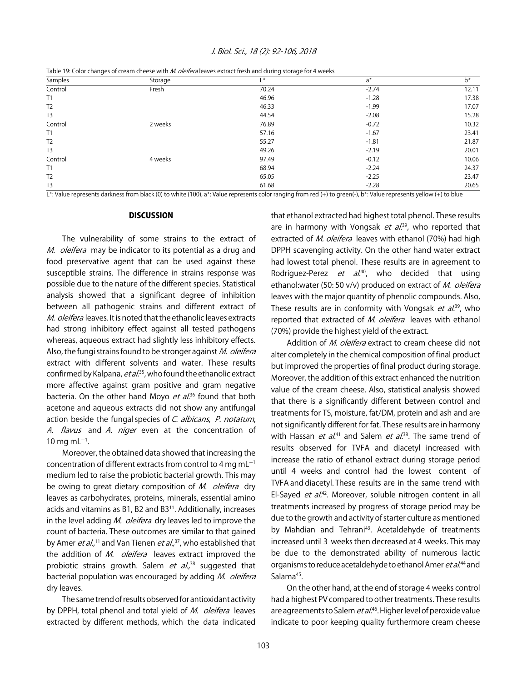| Samples        | Storage | L*    | $a^*$   | $b^*$ |
|----------------|---------|-------|---------|-------|
| Control        | Fresh   | 70.24 | $-2.74$ | 12.11 |
| T1             |         | 46.96 | $-1.28$ | 17.38 |
| T <sub>2</sub> |         | 46.33 | $-1.99$ | 17.07 |
| T <sub>3</sub> |         | 44.54 | $-2.08$ | 15.28 |
| Control        | 2 weeks | 76.89 | $-0.72$ | 10.32 |
| T1             |         | 57.16 | $-1.67$ | 23.41 |
| T <sub>2</sub> |         | 55.27 | $-1.81$ | 21.87 |
| T3             |         | 49.26 | $-2.19$ | 20.01 |
| Control        | 4 weeks | 97.49 | $-0.12$ | 10.06 |
| T1             |         | 68.94 | $-2.24$ | 24.37 |
| T <sub>2</sub> |         | 65.05 | $-2.25$ | 23.47 |
| T <sub>3</sub> |         | 61.68 | $-2.28$ | 20.65 |

L\*: Value represents darkness from black (0) to white (100), a\*: Value represents color ranging from red (+) to green(-), b\*: Value represents yellow (+) to blue

#### **DISCUSSION**

The vulnerability of some strains to the extract of M. oleifera may be indicator to its potential as a drug and food preservative agent that can be used against these susceptible strains. The difference in strains response was possible due to the nature of the different species. Statistical analysis showed that a significant degree of inhibition between all pathogenic strains and different extract of M. oleifera leaves. It is noted that the ethanolic leaves extracts had strong inhibitory effect against all tested pathogens whereas, aqueous extract had slightly less inhibitory effects. Also, the fungi strains found to be stronger against M. oleifera extract with different solvents and water. These results confirmed by Kalpana, et al.<sup>35</sup>, who found the ethanolic extract more affective against gram positive and gram negative bacteria. On the other hand Moyo et al.<sup>36</sup> found that both acetone and aqueous extracts did not show any antifungal action beside the fungal species of C. albicans, P. notatum, A. flavus and A. niger even at the concentration of 10 mg m $L^{-1}$ .

Moreover, the obtained data showed that increasing the concentration of different extracts from control to 4 mg mL $^{-1}$ medium led to raise the probiotic bacterial growth. This may be owing to great dietary composition of M. oleifera dry leaves as carbohydrates, proteins, minerals, essential amino acids and vitamins as B1, B2 and B3<sup>11</sup>. Additionally, increases in the level adding *M. oleifera* dry leaves led to improve the count of bacteria. These outcomes are similar to that gained by Amer et al.,<sup>11</sup> and Van Tienen et al.,<sup>37</sup>, who established that the addition of M. oleifera leaves extract improved the probiotic strains growth. Salem et  $aL<sub>1</sub>$ <sup>38</sup> suggested that bacterial population was encouraged by adding M. oleifera dry leaves.

The same trend of results observed for antioxidant activity by DPPH, total phenol and total yield of M. oleifera leaves extracted by different methods, which the data indicated that ethanol extracted had highest total phenol. These results are in harmony with Vongsak et  $al^{39}$ , who reported that extracted of *M. oleifera* leaves with ethanol (70%) had high DPPH scavenging activity. On the other hand water extract had lowest total phenol. These results are in agreement to Rodriguez-Perez et  $a/40$ , who decided that using ethanol:water (50: 50 v/v) produced on extract of M. oleifera leaves with the major quantity of phenolic compounds. Also, These results are in conformity with Vongsak et  $al^{39}$ , who reported that extracted of M. oleifera leaves with ethanol (70%) provide the highest yield of the extract.

Addition of *M. oleifera* extract to cream cheese did not alter completely in the chemical composition of final product but improved the properties of final product during storage. Moreover, the addition of this extract enhanced the nutrition value of the cream cheese. Also, statistical analysis showed that there is a significantly different between control and treatments for TS, moisture, fat/DM, protein and ash and are not significantly different for fat. These results are in harmony with Hassan *et al.*<sup>41</sup> and Salem *et al.*<sup>38</sup>. The same trend of results observed for TVFA and diacetyl increased with increase the ratio of ethanol extract during storage period until 4 weeks and control had the lowest content of TVFA and diacetyl. These results are in the same trend with El-Sayed *et al.*<sup>42</sup>. Moreover, soluble nitrogen content in all treatments increased by progress of storage period may be due to the growth and activity of starter culture as mentioned by Mahdian and Tehrani<sup>43</sup>. Acetaldehyde of treatments increased until 3 weeks then decreased at 4 weeks. This may be due to the demonstrated ability of numerous lactic organisms to reduce acetaldehyde to ethanol Amer et al.<sup>44</sup> and Salama<sup>45</sup>.

On the other hand, at the end of storage 4 weeks control had a highest PV compared to other treatments. These results are agreements to Salem et al.<sup>46</sup>. Higher level of peroxide value indicate to poor keeping quality furthermore cream cheese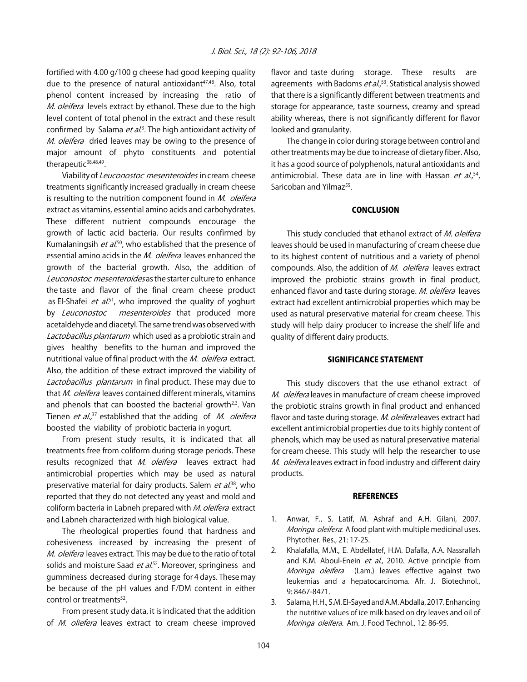fortified with 4.00 g/100 g cheese had good keeping quality due to the presence of natural antioxidant $47,48$ . Also, total phenol content increased by increasing the ratio of M. oleifera levels extract by ethanol. These due to the high level content of total phenol in the extract and these result confirmed by Salama et al.<sup>3</sup>. The high antioxidant activity of M. oleifera dried leaves may be owing to the presence of major amount of phyto constituents and potential therapeutic<sup>38,48,49</sup>.

Viability of Leuconostoc mesenteroides in cream cheese treatments significantly increased gradually in cream cheese is resulting to the nutrition component found in M. oleifera extract as vitamins, essential amino acids and carbohydrates. These different nutrient compounds encourage the growth of lactic acid bacteria. Our results confirmed by Kumalaningsih *et al.*<sup>50</sup>, who established that the presence of essential amino acids in the *M. oleifera* leaves enhanced the growth of the bacterial growth. Also, the addition of Leuconostoc mesenteroides as the starter culture to enhance the taste and flavor of the final cream cheese product as El-Shafei *et al.*<sup>51</sup>, who improved the quality of yoghurt by Leuconostoc mesenteroides that produced more acetaldehyde and diacetyl. The same trend was observed with Lactobacillus plantarum which used as a probiotic strain and gives healthy benefits to the human and improved the nutritional value of final product with the M. oleifera extract. Also, the addition of these extract improved the viability of Lactobacillus plantarum in final product. These may due to that M. oleifera leaves contained different minerals, vitamins and phenols that can boosted the bacterial growth $2<sup>3</sup>$ . Van Tienen et  $al_n^{37}$  established that the adding of M. oleifera boosted the viability of probiotic bacteria in yogurt.

From present study results, it is indicated that all treatments free from coliform during storage periods. These results recognized that M. oleifera leaves extract had antimicrobial properties which may be used as natural preservative material for dairy products. Salem et al.<sup>38</sup>, who reported that they do not detected any yeast and mold and coliform bacteria in Labneh prepared with M. oleifera extract and Labneh characterized with high biological value.

The rheological properties found that hardness and cohesiveness increased by increasing the present of M. oleifera leaves extract. This may be due to the ratio of total solids and moisture Saad et  $aI$ <sup>52</sup>. Moreover, springiness and gumminess decreased during storage for 4 days. These may be because of the pH values and F/DM content in either control or treatments<sup>52</sup>.

From present study data, it is indicated that the addition of *M. oliefera* leaves extract to cream cheese improved flavor and taste during storage. These results are agreements with Badoms et al.<sup>53</sup>. Statistical analysis showed that there is a significantly different between treatments and storage for appearance, taste sourness, creamy and spread ability whereas, there is not significantly different for flavor looked and granularity.

The change in color during storage between control and other treatments may be due to increase of dietary fiber. Also, it has a good source of polyphenols, natural antioxidants and antimicrobial. These data are in line with Hassan et  $al^{54}$ , Saricoban and Yilmaz<sup>55</sup>.

#### **CONCLUSION**

This study concluded that ethanol extract of M. oleifera leaves should be used in manufacturing of cream cheese due to its highest content of nutritious and a variety of phenol compounds. Also, the addition of M. oleifera leaves extract improved the probiotic strains growth in final product, enhanced flavor and taste during storage. M. oleifera leaves extract had excellent antimicrobial properties which may be used as natural preservative material for cream cheese. This study will help dairy producer to increase the shelf life and quality of different dairy products.

#### SIGNIFICANCE STATEMENT

This study discovers that the use ethanol extract of M. oleifera leaves in manufacture of cream cheese improved the probiotic strains growth in final product and enhanced flavor and taste during storage. M. oleifera leaves extract had excellent antimicrobial properties due to its highly content of phenols, which may be used as natural preservative material for cream cheese. This study will help the researcher to use M. oleifera leaves extract in food industry and different dairy products.

#### **REFERENCES**

- 1. Anwar, F., S. Latif, M. Ashraf and A.H. Gilani, 2007. Moringa oleifera: A food plant with multiple medicinal uses. Phytother. Res., 21: 17-25.
- 2. Khalafalla, M.M., E. Abdellatef, H.M. Dafalla, A.A. Nassrallah and K.M. Aboul-Enein et al., 2010. Active principle from Moringa oleifera (Lam.) leaves effective against two leukemias and a hepatocarcinoma. Afr. J. Biotechnol., 9: 8467-8471.
- 3. Salama, H.H., S.M. El-Sayed and A.M. Abdalla, 2017. Enhancing the nutritive values of ice milk based on dry leaves and oil of Moringa oleifera. Am. J. Food Technol., 12: 86-95.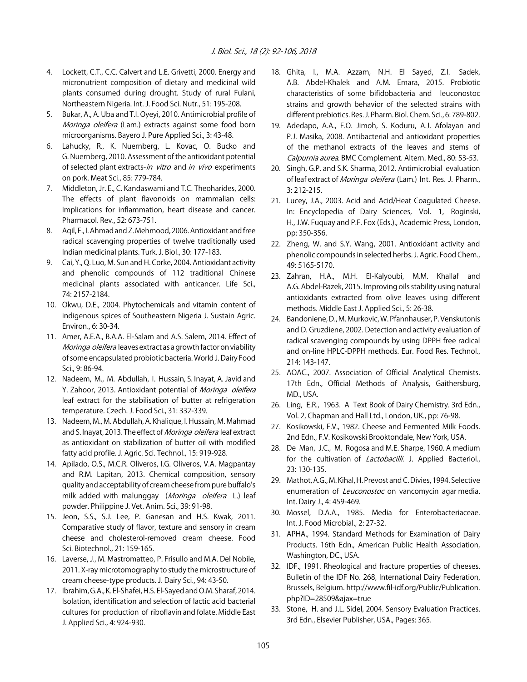- 4. Lockett, C.T., C.C. Calvert and L.E. Grivetti, 2000. Energy and micronutrient composition of dietary and medicinal wild plants consumed during drought. Study of rural Fulani, Northeastern Nigeria. Int. J. Food Sci. Nutr., 51: 195-208.
- 5. Bukar, A., A. Uba and T.I. Oyeyi, 2010. Antimicrobial profile of Moringa oleifera (Lam.) extracts against some food born microorganisms. Bayero J. Pure Applied Sci., 3: 43-48.
- 6. Lahucky, R., K. Nuernberg, L. Kovac, O. Bucko and G. Nuernberg, 2010. Assessment of the antioxidant potential of selected plant extracts-in vitro and in vivo experiments on pork. Meat Sci., 85: 779-784.
- 7. Middleton, Jr. E., C. Kandaswami and T.C. Theoharides, 2000. The effects of plant flavonoids on mammalian cells: Implications for inflammation, heart disease and cancer. Pharmacol. Rev., 52: 673-751.
- 8. Aqil, F., I. Ahmad and Z. Mehmood, 2006. Antioxidant and free radical scavenging properties of twelve traditionally used Indian medicinal plants. Turk. J. Biol., 30: 177-183.
- 9. Cai, Y., Q. Luo, M. Sun and H. Corke, 2004. Antioxidant activity and phenolic compounds of 112 traditional Chinese medicinal plants associated with anticancer. Life Sci., 74: 2157-2184.
- 10. Okwu, D.E., 2004. Phytochemicals and vitamin content of indigenous spices of Southeastern Nigeria J. Sustain Agric. Environ., 6: 30-34.
- 11. Amer, A.E.A., B.A.A. El-Salam and A.S. Salem, 2014. Effect of Moringa oleifera leaves extract as a growth factor on viability of some encapsulated probiotic bacteria. World J. Dairy Food Sci., 9: 86-94.
- 12. Nadeem, M., M. Abdullah, I. Hussain, S. Inayat, A. Javid and Y. Zahoor, 2013. Antioxidant potential of Moringa oleifera leaf extract for the stabilisation of butter at refrigeration temperature. Czech. J. Food Sci., 31: 332-339.
- 13. Nadeem, M., M. Abdullah, A. Khalique, I. Hussain, M. Mahmad and S. Inayat, 2013. The effect of *Moringa oleifera* leaf extract as antioxidant on stabilization of butter oil with modified fatty acid profile. J. Agric. Sci. Technol., 15: 919-928.
- 14. Apilado, O.S., M.C.R. Oliveros, I.G. Oliveros, V.A. Magpantay and R.M. Lapitan, 2013. Chemical composition, sensory quality and acceptability of cream cheese from pure buffalo's milk added with malunggay (Moringa oleifera L.) leaf powder. Philippine J. Vet. Anim. Sci., 39: 91-98.
- 15. Jeon, S.S., S.J. Lee, P. Ganesan and H.S. Kwak, 2011. Comparative study of flavor, texture and sensory in cream cheese and cholesterol-removed cream cheese. Food Sci. Biotechnol., 21: 159-165.
- 16. Laverse, J., M. Mastromatteo, P. Frisullo and M.A. Del Nobile, 2011. X-ray microtomography to study the microstructure of cream cheese-type products. J. Dairy Sci., 94: 43-50.
- 17. Ibrahim, G.A., K. El-Shafei, H.S. El-Sayed and O.M. Sharaf, 2014. Isolation, identification and selection of lactic acid bacterial cultures for production of riboflavin and folate. Middle East J. Applied Sci., 4: 924-930.
- 18. Ghita, I., M.A. Azzam, N.H. El Sayed, Z.I. Sadek, A.B. Abdel-Khalek and A.M. Emara, 2015. Probiotic characteristics of some bifidobacteria and leuconostoc strains and growth behavior of the selected strains with different prebiotics. Res. J. Pharm. Biol. Chem. Sci., 6: 789-802.
- 19. Adedapo, A.A., F.O. Jimoh, S. Koduru, A.J. Afolayan and P.J. Masika, 2008. Antibacterial and antioxidant properties of the methanol extracts of the leaves and stems of Calpurnia aurea. BMC Complement. Altern. Med., 80: 53-53.
- 20. Singh, G.P. and S.K. Sharma, 2012. Antimicrobial evaluation of leaf extract of *Moringa oleifera* (Lam.) Int. Res. J. Pharm., 3: 212-215.
- 21. Lucey, J.A., 2003. Acid and Acid/Heat Coagulated Cheese. In: Encyclopedia of Dairy Sciences, Vol. 1, Roginski, H., J.W. Fuquay and P.F. Fox (Eds.)., Academic Press, London, pp: 350-356.
- 22. Zheng, W. and S.Y. Wang, 2001. Antioxidant activity and phenolic compounds in selected herbs. J. Agric. Food Chem., 49: 5165-5170.
- 23. Zahran, H.A., M.H. El-Kalyoubi, M.M. Khallaf and A.G. Abdel-Razek, 2015. Improving oils stability using natural antioxidants extracted from olive leaves using different methods. Middle East J. Applied Sci., 5: 26-38.
- 24. Bandoniene, D., M. Murkovic, W. Pfannhauser, P. Venskutonis and D. Gruzdiene, 2002. Detection and activity evaluation of radical scavenging compounds by using DPPH free radical and on-line HPLC-DPPH methods. Eur. Food Res. Technol., 214: 143-147.
- 25. AOAC., 2007. Association of Official Analytical Chemists. 17th Edn., Official Methods of Analysis, Gaithersburg, MD., USA.
- 26. Ling, E.R., 1963. A Text Book of Dairy Chemistry. 3rd Edn., Vol. 2, Chapman and Hall Ltd., London, UK., pp: 76-98.
- 27. Kosikowski, F.V., 1982. Cheese and Fermented Milk Foods. 2nd Edn., F.V. Kosikowski Brooktondale, New York, USA.
- 28. De Man, J.C., M. Rogosa and M.E. Sharpe, 1960. A medium for the cultivation of *Lactobacilli*. J. Applied Bacteriol., 23: 130-135.
- 29. Mathot, A.G., M. Kihal, H. Prevost and C. Divies, 1994. Selective enumeration of Leuconostoc on vancomycin agar media. Int. Dairy J., 4: 459-469.
- 30. Mossel, D.A.A., 1985. Media for Enterobacteriaceae. Int. J. Food Microbial., 2: 27-32.
- 31. APHA., 1994. Standard Methods for Examination of Dairy Products. 16th Edn., American Public Health Association, Washington, DC., USA.
- 32. IDF., 1991. Rheological and fracture properties of cheeses. Bulletin of the IDF No. 268, International Dairy Federation, Brussels, Belgium. http://www.fil-idf.org/Public/Publication. php?ID=28509&ajax=true
- 33. Stone, H. and J.L. Sidel, 2004. Sensory Evaluation Practices. 3rd Edn., Elsevier Publisher, USA., Pages: 365.